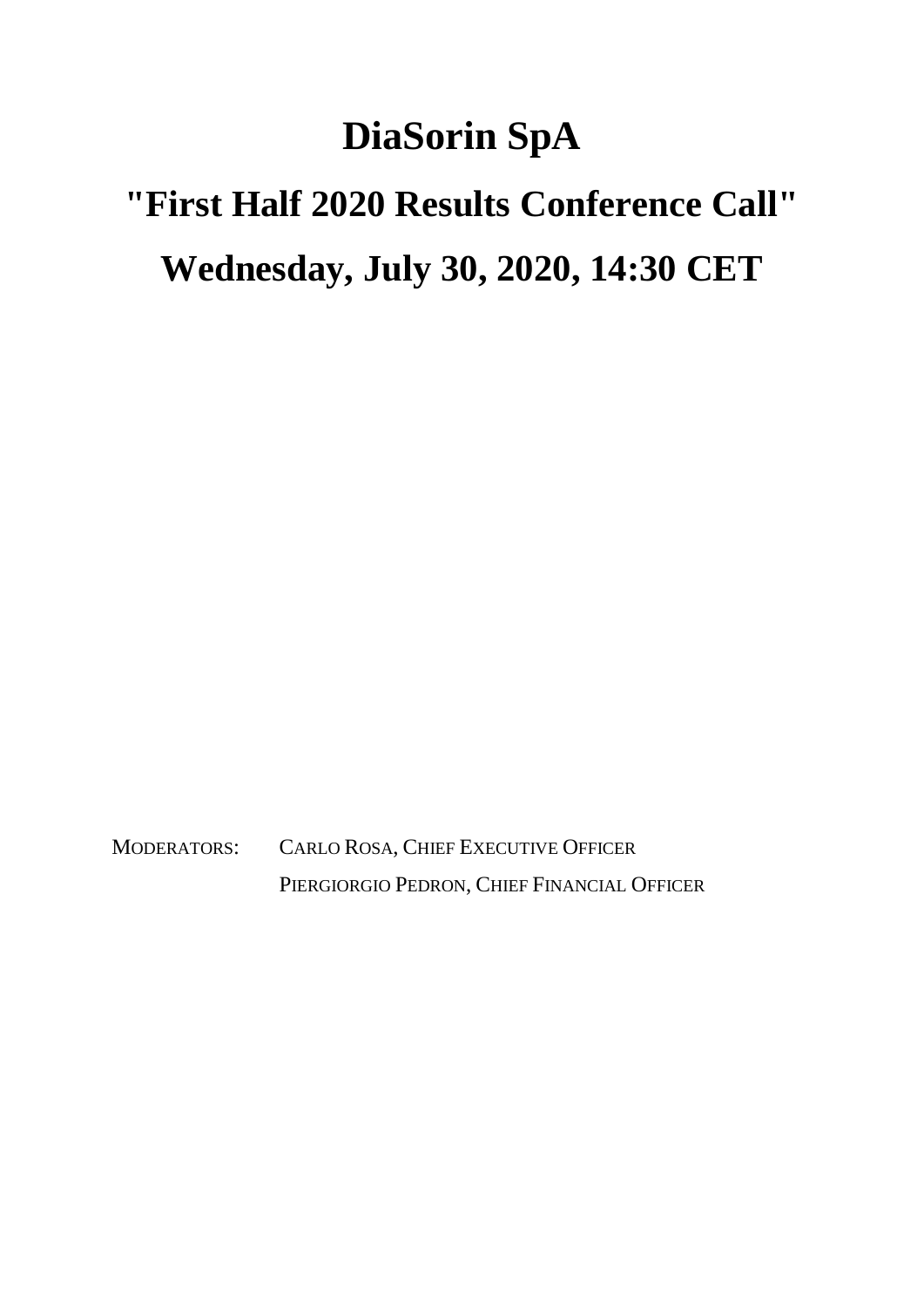## **DiaSorin SpA**

## **"First Half 2020 Results Conference Call" Wednesday, July 30, 2020, 14:30 CET**

MODERATORS: CARLO ROSA, CHIEF EXECUTIVE OFFICER PIERGIORGIO PEDRON, CHIEF FINANCIAL OFFICER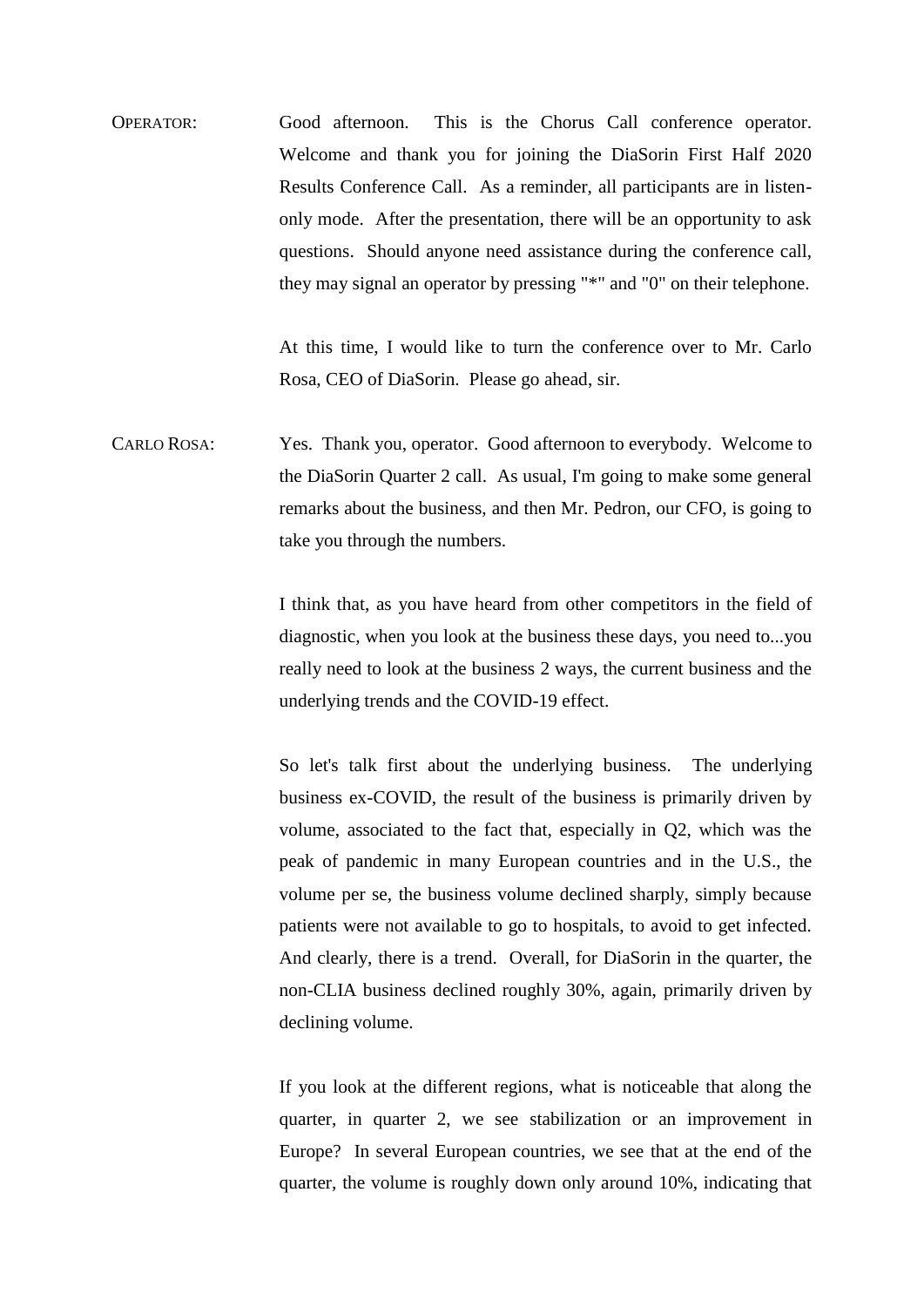OPERATOR: Good afternoon. This is the Chorus Call conference operator. Welcome and thank you for joining the DiaSorin First Half 2020 Results Conference Call. As a reminder, all participants are in listenonly mode. After the presentation, there will be an opportunity to ask questions. Should anyone need assistance during the conference call, they may signal an operator by pressing "\*" and "0" on their telephone.

> At this time, I would like to turn the conference over to Mr. Carlo Rosa, CEO of DiaSorin. Please go ahead, sir.

CARLO ROSA: Yes. Thank you, operator. Good afternoon to everybody. Welcome to the DiaSorin Quarter 2 call. As usual, I'm going to make some general remarks about the business, and then Mr. Pedron, our CFO, is going to take you through the numbers.

> I think that, as you have heard from other competitors in the field of diagnostic, when you look at the business these days, you need to...you really need to look at the business 2 ways, the current business and the underlying trends and the COVID-19 effect.

> So let's talk first about the underlying business. The underlying business ex-COVID, the result of the business is primarily driven by volume, associated to the fact that, especially in Q2, which was the peak of pandemic in many European countries and in the U.S., the volume per se, the business volume declined sharply, simply because patients were not available to go to hospitals, to avoid to get infected. And clearly, there is a trend. Overall, for DiaSorin in the quarter, the non-CLIA business declined roughly 30%, again, primarily driven by declining volume.

> If you look at the different regions, what is noticeable that along the quarter, in quarter 2, we see stabilization or an improvement in Europe? In several European countries, we see that at the end of the quarter, the volume is roughly down only around 10%, indicating that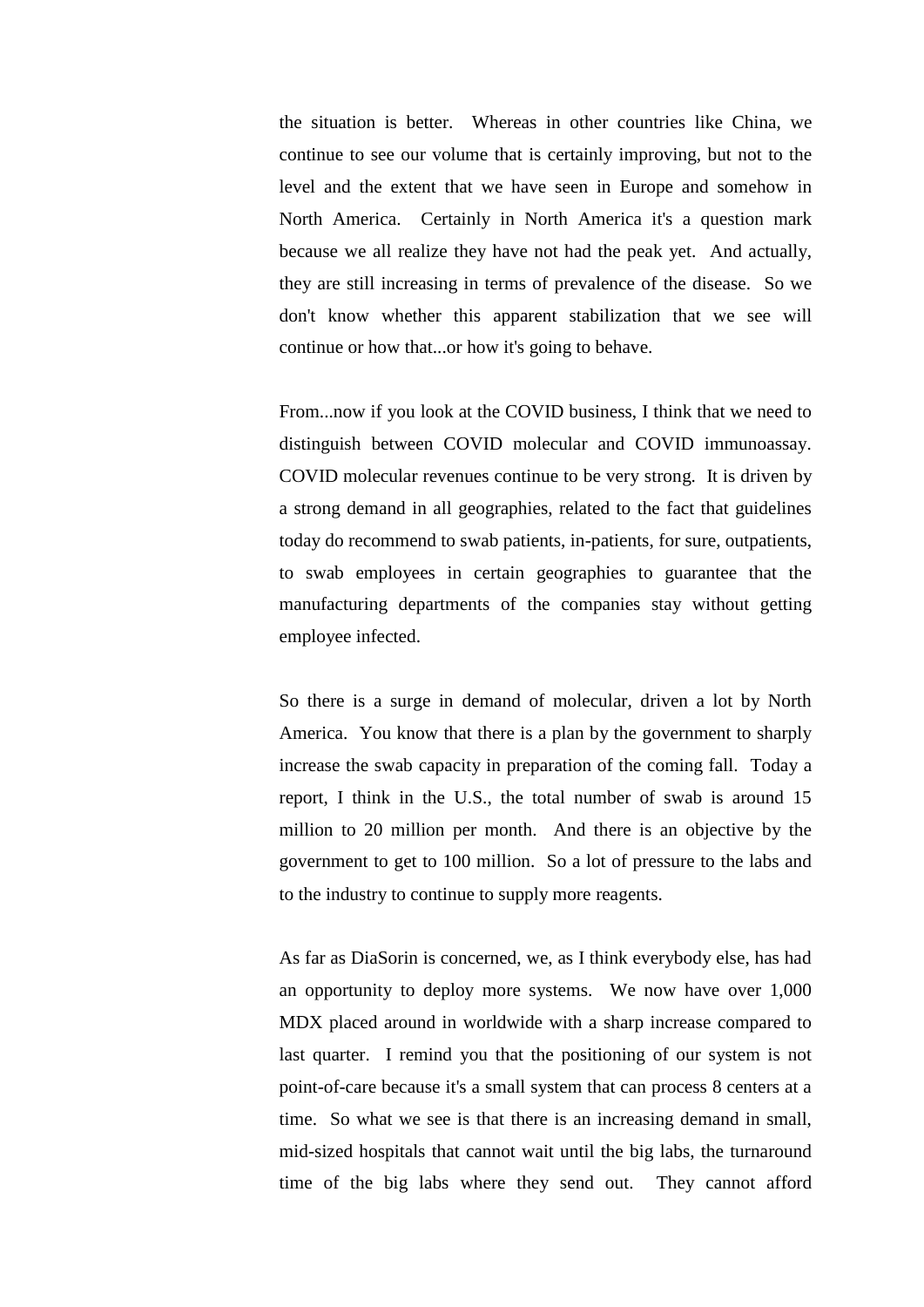the situation is better. Whereas in other countries like China, we continue to see our volume that is certainly improving, but not to the level and the extent that we have seen in Europe and somehow in North America. Certainly in North America it's a question mark because we all realize they have not had the peak yet. And actually, they are still increasing in terms of prevalence of the disease. So we don't know whether this apparent stabilization that we see will continue or how that...or how it's going to behave.

From...now if you look at the COVID business, I think that we need to distinguish between COVID molecular and COVID immunoassay. COVID molecular revenues continue to be very strong. It is driven by a strong demand in all geographies, related to the fact that guidelines today do recommend to swab patients, in-patients, for sure, outpatients, to swab employees in certain geographies to guarantee that the manufacturing departments of the companies stay without getting employee infected.

So there is a surge in demand of molecular, driven a lot by North America. You know that there is a plan by the government to sharply increase the swab capacity in preparation of the coming fall. Today a report, I think in the U.S., the total number of swab is around 15 million to 20 million per month. And there is an objective by the government to get to 100 million. So a lot of pressure to the labs and to the industry to continue to supply more reagents.

As far as DiaSorin is concerned, we, as I think everybody else, has had an opportunity to deploy more systems. We now have over 1,000 MDX placed around in worldwide with a sharp increase compared to last quarter. I remind you that the positioning of our system is not point-of-care because it's a small system that can process 8 centers at a time. So what we see is that there is an increasing demand in small, mid-sized hospitals that cannot wait until the big labs, the turnaround time of the big labs where they send out. They cannot afford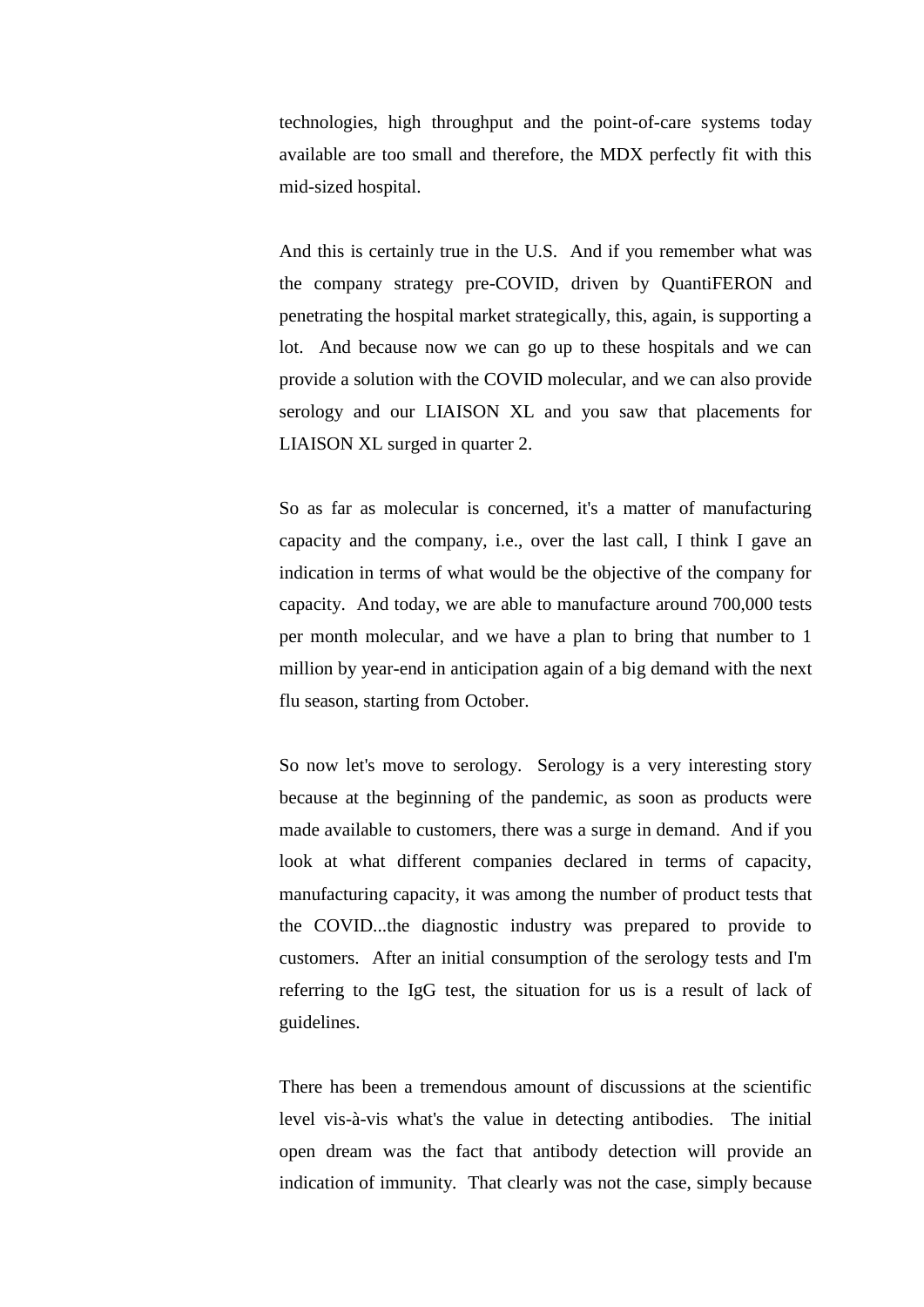technologies, high throughput and the point-of-care systems today available are too small and therefore, the MDX perfectly fit with this mid-sized hospital.

And this is certainly true in the U.S. And if you remember what was the company strategy pre-COVID, driven by QuantiFERON and penetrating the hospital market strategically, this, again, is supporting a lot. And because now we can go up to these hospitals and we can provide a solution with the COVID molecular, and we can also provide serology and our LIAISON XL and you saw that placements for LIAISON XL surged in quarter 2.

So as far as molecular is concerned, it's a matter of manufacturing capacity and the company, i.e., over the last call, I think I gave an indication in terms of what would be the objective of the company for capacity. And today, we are able to manufacture around 700,000 tests per month molecular, and we have a plan to bring that number to 1 million by year-end in anticipation again of a big demand with the next flu season, starting from October.

So now let's move to serology. Serology is a very interesting story because at the beginning of the pandemic, as soon as products were made available to customers, there was a surge in demand. And if you look at what different companies declared in terms of capacity, manufacturing capacity, it was among the number of product tests that the COVID...the diagnostic industry was prepared to provide to customers. After an initial consumption of the serology tests and I'm referring to the IgG test, the situation for us is a result of lack of guidelines.

There has been a tremendous amount of discussions at the scientific level vis-à-vis what's the value in detecting antibodies. The initial open dream was the fact that antibody detection will provide an indication of immunity. That clearly was not the case, simply because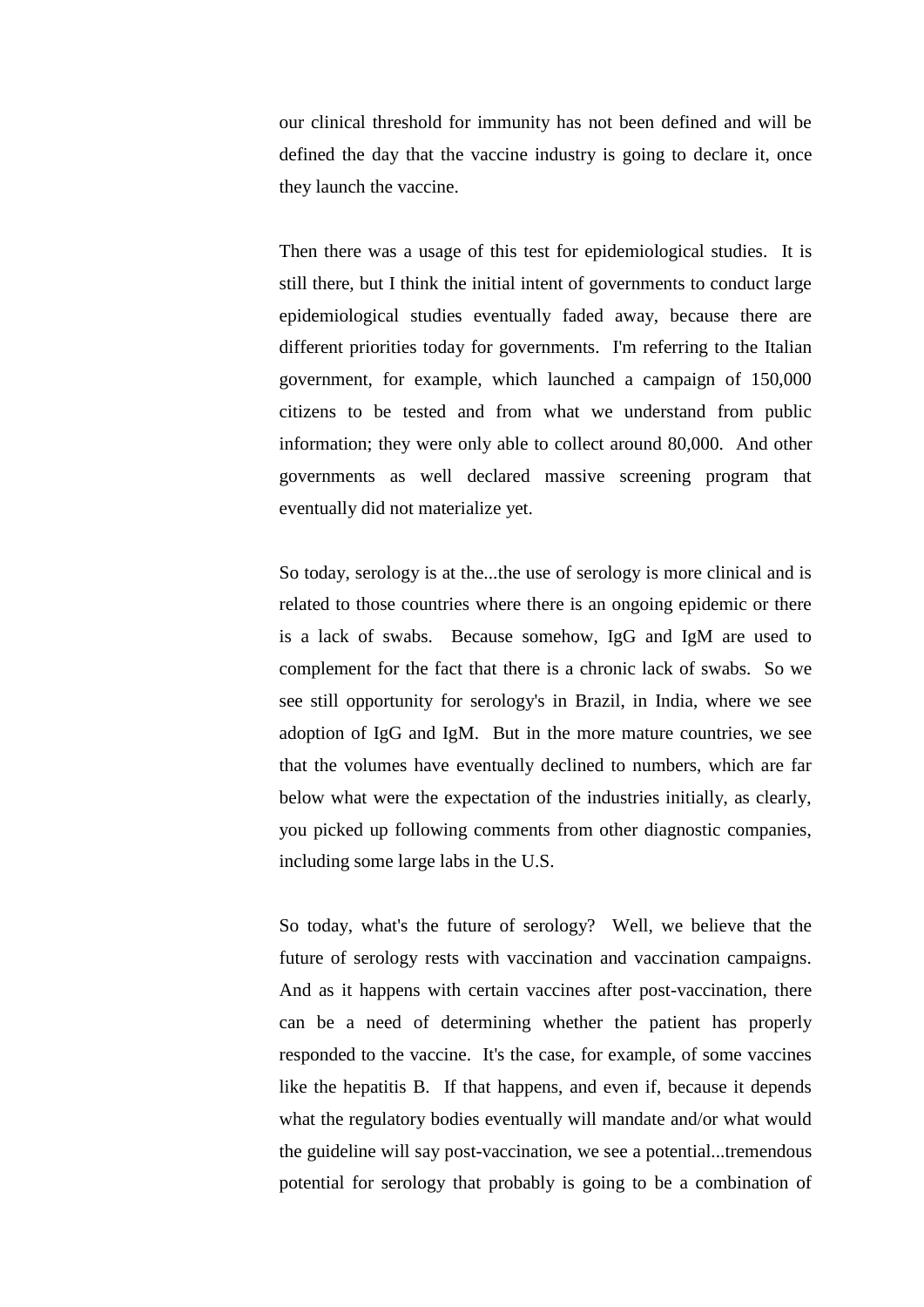our clinical threshold for immunity has not been defined and will be defined the day that the vaccine industry is going to declare it, once they launch the vaccine.

Then there was a usage of this test for epidemiological studies. It is still there, but I think the initial intent of governments to conduct large epidemiological studies eventually faded away, because there are different priorities today for governments. I'm referring to the Italian government, for example, which launched a campaign of 150,000 citizens to be tested and from what we understand from public information; they were only able to collect around 80,000. And other governments as well declared massive screening program that eventually did not materialize yet.

So today, serology is at the...the use of serology is more clinical and is related to those countries where there is an ongoing epidemic or there is a lack of swabs. Because somehow, IgG and IgM are used to complement for the fact that there is a chronic lack of swabs. So we see still opportunity for serology's in Brazil, in India, where we see adoption of IgG and IgM. But in the more mature countries, we see that the volumes have eventually declined to numbers, which are far below what were the expectation of the industries initially, as clearly, you picked up following comments from other diagnostic companies, including some large labs in the U.S.

So today, what's the future of serology? Well, we believe that the future of serology rests with vaccination and vaccination campaigns. And as it happens with certain vaccines after post-vaccination, there can be a need of determining whether the patient has properly responded to the vaccine. It's the case, for example, of some vaccines like the hepatitis B. If that happens, and even if, because it depends what the regulatory bodies eventually will mandate and/or what would the guideline will say post-vaccination, we see a potential...tremendous potential for serology that probably is going to be a combination of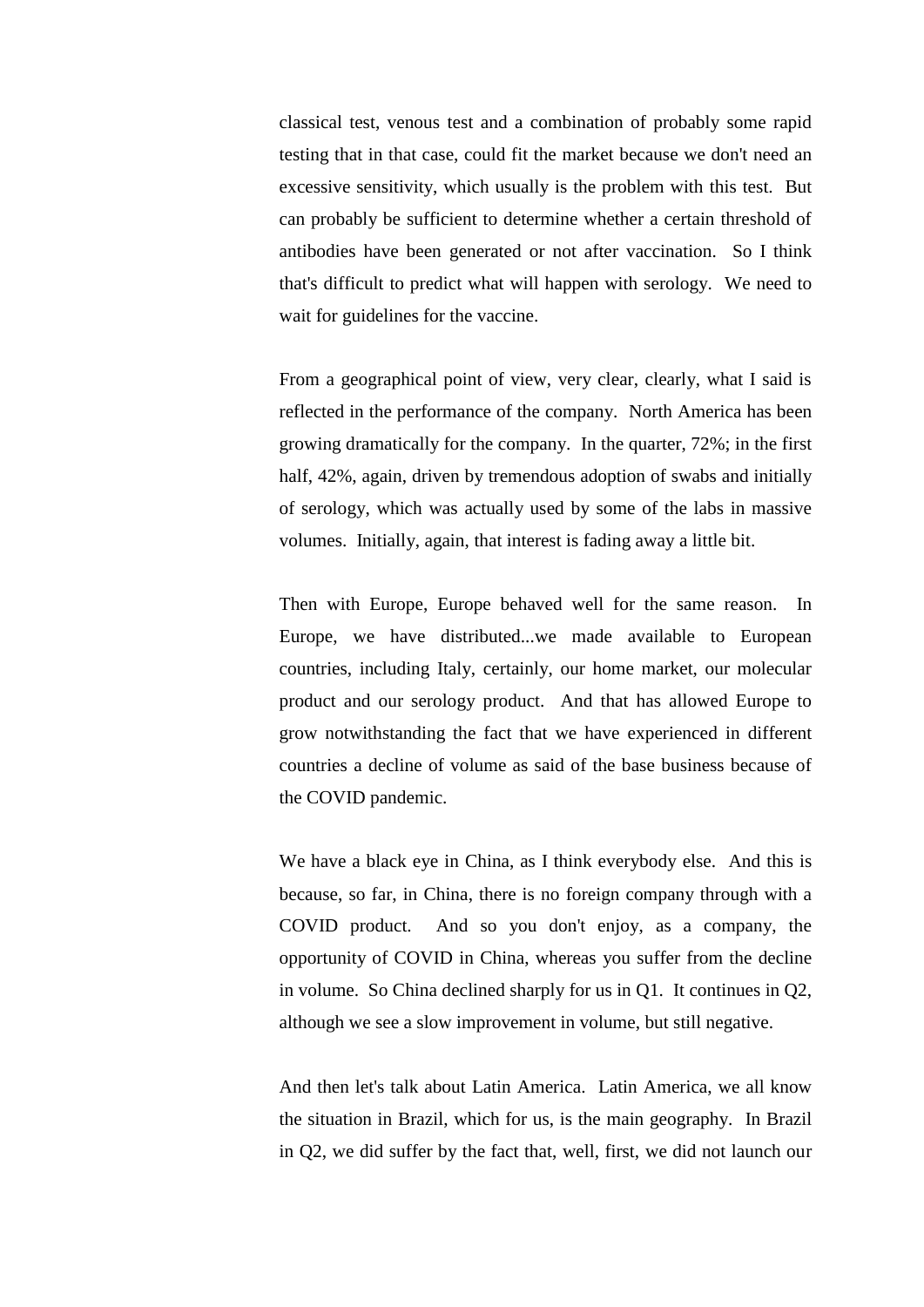classical test, venous test and a combination of probably some rapid testing that in that case, could fit the market because we don't need an excessive sensitivity, which usually is the problem with this test. But can probably be sufficient to determine whether a certain threshold of antibodies have been generated or not after vaccination. So I think that's difficult to predict what will happen with serology. We need to wait for guidelines for the vaccine.

From a geographical point of view, very clear, clearly, what I said is reflected in the performance of the company. North America has been growing dramatically for the company. In the quarter, 72%; in the first half, 42%, again, driven by tremendous adoption of swabs and initially of serology, which was actually used by some of the labs in massive volumes. Initially, again, that interest is fading away a little bit.

Then with Europe, Europe behaved well for the same reason. In Europe, we have distributed...we made available to European countries, including Italy, certainly, our home market, our molecular product and our serology product. And that has allowed Europe to grow notwithstanding the fact that we have experienced in different countries a decline of volume as said of the base business because of the COVID pandemic.

We have a black eye in China, as I think everybody else. And this is because, so far, in China, there is no foreign company through with a COVID product. And so you don't enjoy, as a company, the opportunity of COVID in China, whereas you suffer from the decline in volume. So China declined sharply for us in Q1. It continues in Q2, although we see a slow improvement in volume, but still negative.

And then let's talk about Latin America. Latin America, we all know the situation in Brazil, which for us, is the main geography. In Brazil in Q2, we did suffer by the fact that, well, first, we did not launch our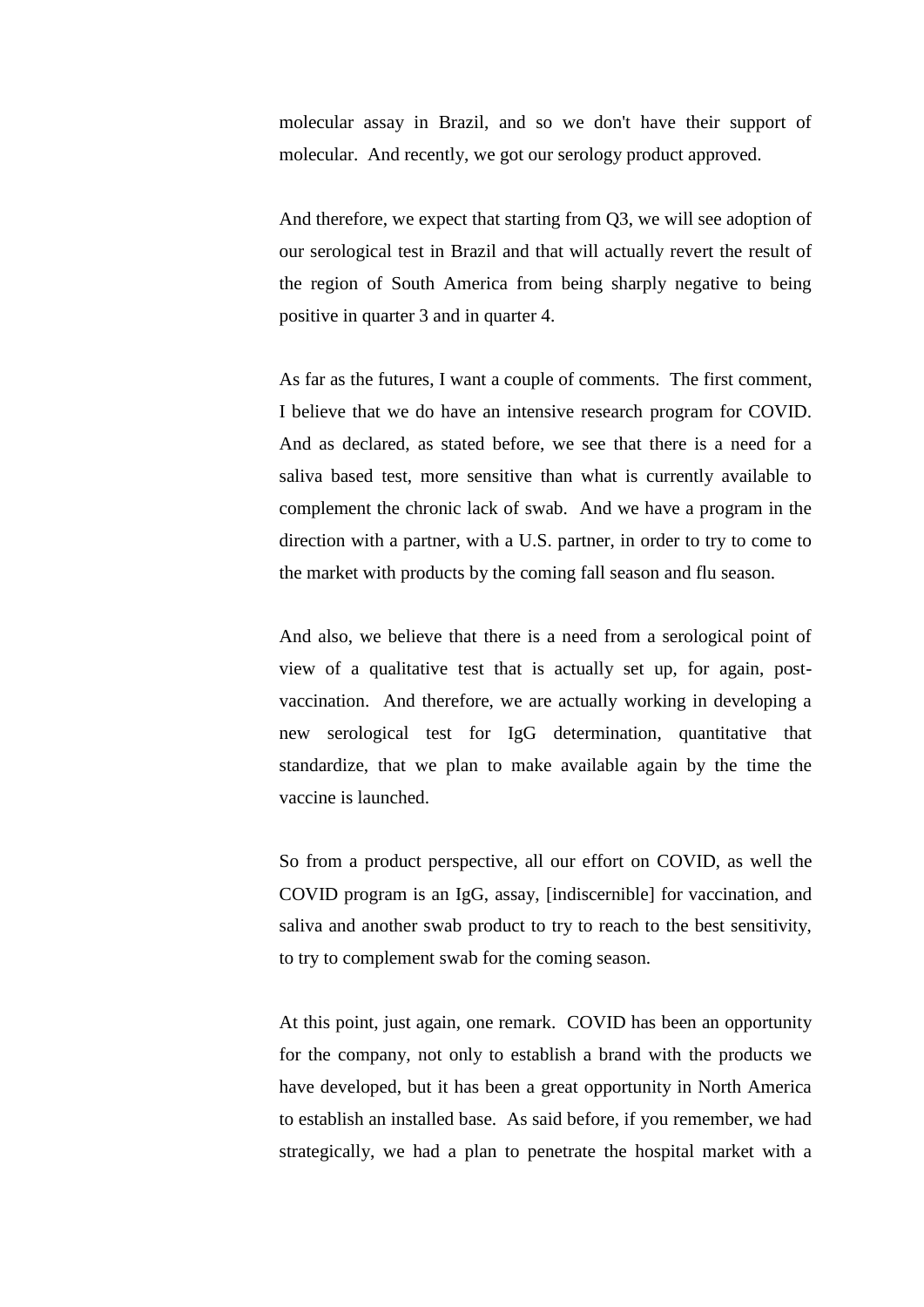molecular assay in Brazil, and so we don't have their support of molecular. And recently, we got our serology product approved.

And therefore, we expect that starting from Q3, we will see adoption of our serological test in Brazil and that will actually revert the result of the region of South America from being sharply negative to being positive in quarter 3 and in quarter 4.

As far as the futures, I want a couple of comments. The first comment, I believe that we do have an intensive research program for COVID. And as declared, as stated before, we see that there is a need for a saliva based test, more sensitive than what is currently available to complement the chronic lack of swab. And we have a program in the direction with a partner, with a U.S. partner, in order to try to come to the market with products by the coming fall season and flu season.

And also, we believe that there is a need from a serological point of view of a qualitative test that is actually set up, for again, postvaccination. And therefore, we are actually working in developing a new serological test for IgG determination, quantitative that standardize, that we plan to make available again by the time the vaccine is launched.

So from a product perspective, all our effort on COVID, as well the COVID program is an IgG, assay, [indiscernible] for vaccination, and saliva and another swab product to try to reach to the best sensitivity, to try to complement swab for the coming season.

At this point, just again, one remark. COVID has been an opportunity for the company, not only to establish a brand with the products we have developed, but it has been a great opportunity in North America to establish an installed base. As said before, if you remember, we had strategically, we had a plan to penetrate the hospital market with a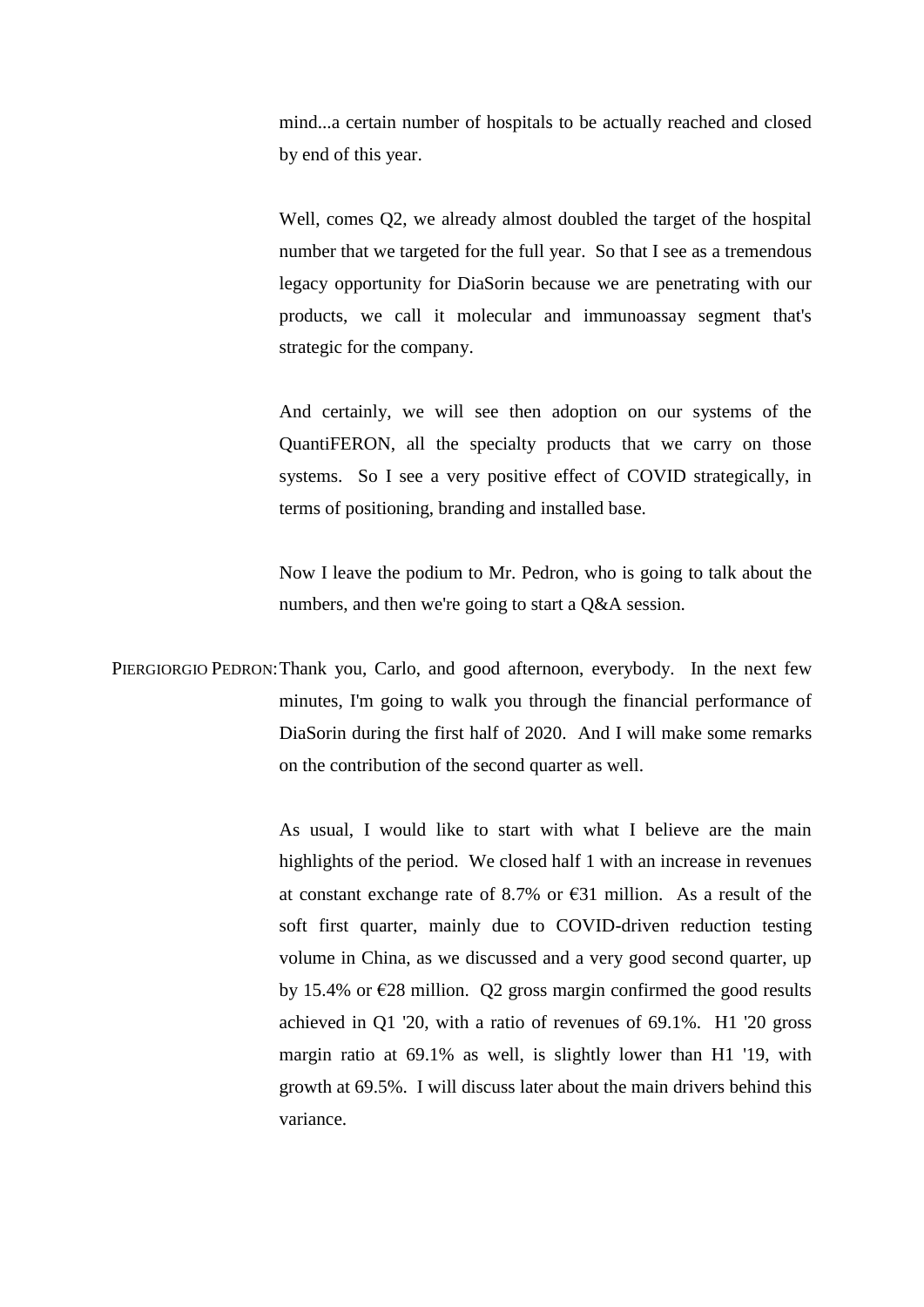mind...a certain number of hospitals to be actually reached and closed by end of this year.

Well, comes Q2, we already almost doubled the target of the hospital number that we targeted for the full year. So that I see as a tremendous legacy opportunity for DiaSorin because we are penetrating with our products, we call it molecular and immunoassay segment that's strategic for the company.

And certainly, we will see then adoption on our systems of the QuantiFERON, all the specialty products that we carry on those systems. So I see a very positive effect of COVID strategically, in terms of positioning, branding and installed base.

Now I leave the podium to Mr. Pedron, who is going to talk about the numbers, and then we're going to start a Q&A session.

PIERGIORGIO PEDRON:Thank you, Carlo, and good afternoon, everybody. In the next few minutes, I'm going to walk you through the financial performance of DiaSorin during the first half of 2020. And I will make some remarks on the contribution of the second quarter as well.

> As usual, I would like to start with what I believe are the main highlights of the period. We closed half 1 with an increase in revenues at constant exchange rate of 8.7% or  $\epsilon$ 31 million. As a result of the soft first quarter, mainly due to COVID-driven reduction testing volume in China, as we discussed and a very good second quarter, up by 15.4% or  $\epsilon$ 28 million. Q2 gross margin confirmed the good results achieved in Q1 '20, with a ratio of revenues of 69.1%. H1 '20 gross margin ratio at 69.1% as well, is slightly lower than H1 '19, with growth at 69.5%. I will discuss later about the main drivers behind this variance.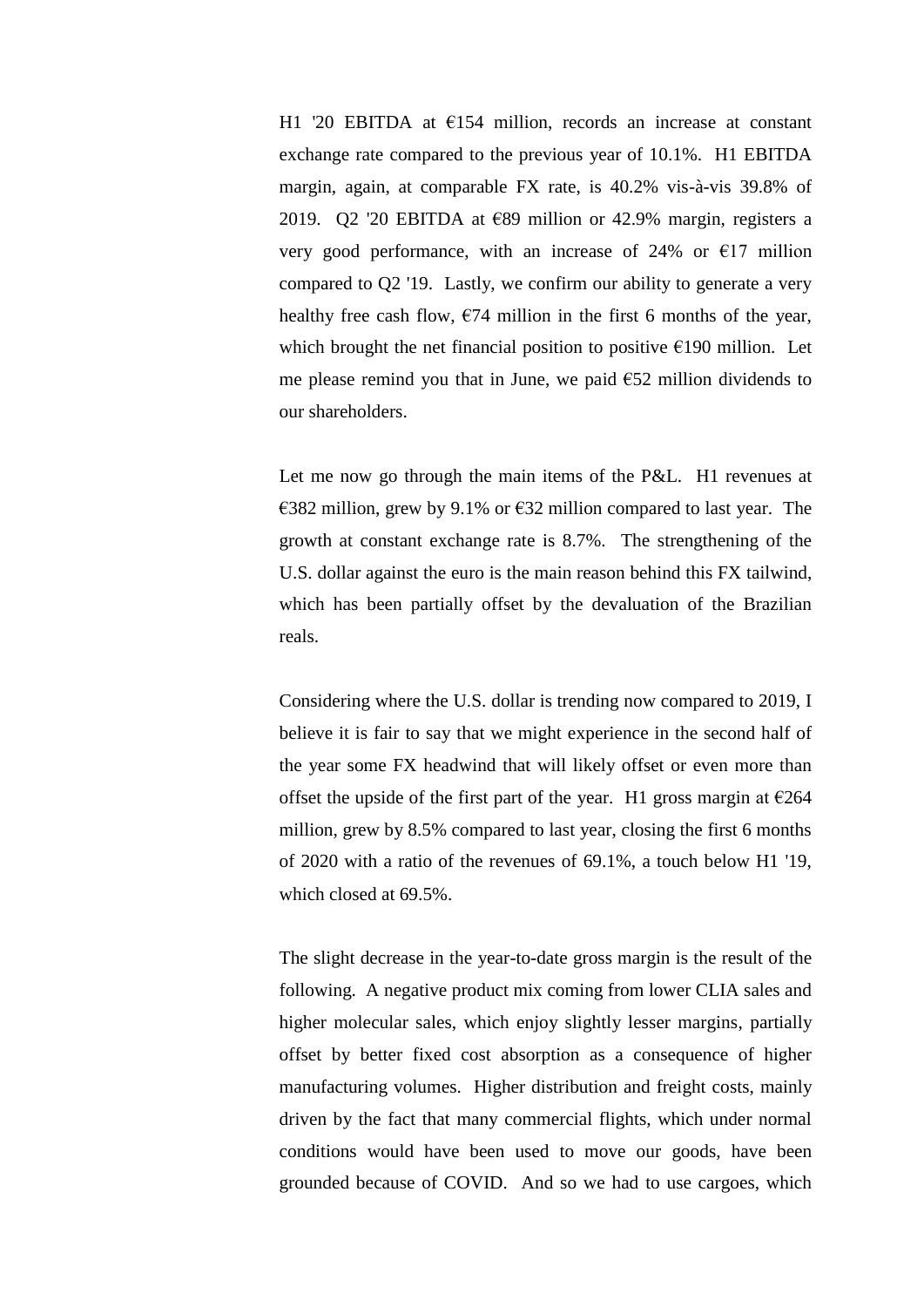H1 '20 EBITDA at  $E154$  million, records an increase at constant exchange rate compared to the previous year of 10.1%. H1 EBITDA margin, again, at comparable FX rate, is 40.2% vis-à-vis 39.8% of 2019. Q2 '20 EBITDA at  $E89$  million or 42.9% margin, registers a very good performance, with an increase of 24% or  $\epsilon$ 17 million compared to Q2 '19. Lastly, we confirm our ability to generate a very healthy free cash flow,  $\epsilon$ 74 million in the first 6 months of the year, which brought the net financial position to positive  $\epsilon$ 190 million. Let me please remind you that in June, we paid €52 million dividends to our shareholders.

Let me now go through the main items of the P&L. H1 revenues at €382 million, grew by 9.1% or €32 million compared to last year. The growth at constant exchange rate is 8.7%. The strengthening of the U.S. dollar against the euro is the main reason behind this FX tailwind, which has been partially offset by the devaluation of the Brazilian reals.

Considering where the U.S. dollar is trending now compared to 2019, I believe it is fair to say that we might experience in the second half of the year some FX headwind that will likely offset or even more than offset the upside of the first part of the year. H1 gross margin at  $\epsilon$ 264 million, grew by 8.5% compared to last year, closing the first 6 months of 2020 with a ratio of the revenues of 69.1%, a touch below H1 '19, which closed at 69.5%.

The slight decrease in the year-to-date gross margin is the result of the following. A negative product mix coming from lower CLIA sales and higher molecular sales, which enjoy slightly lesser margins, partially offset by better fixed cost absorption as a consequence of higher manufacturing volumes. Higher distribution and freight costs, mainly driven by the fact that many commercial flights, which under normal conditions would have been used to move our goods, have been grounded because of COVID. And so we had to use cargoes, which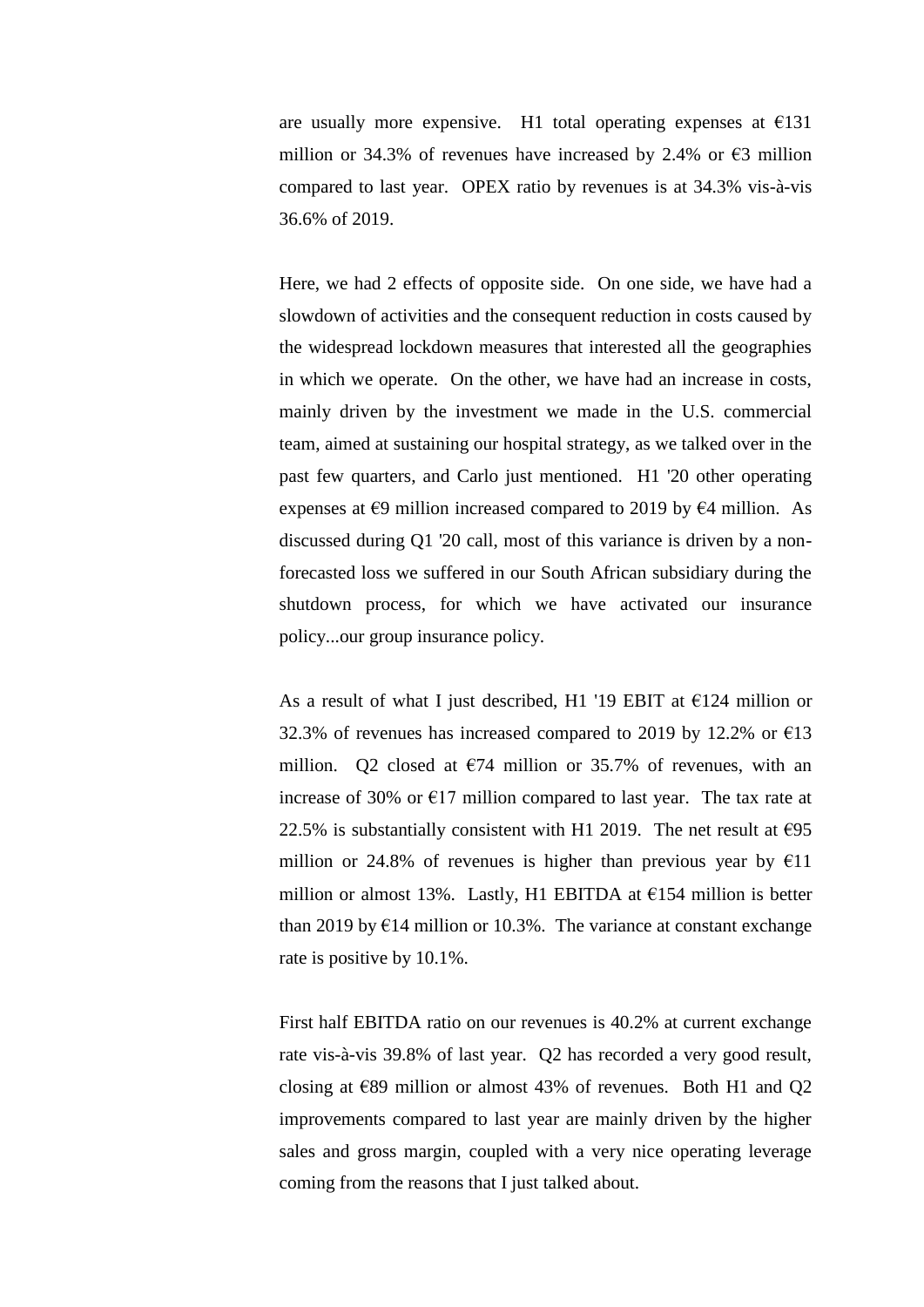are usually more expensive. H1 total operating expenses at  $E$ 131 million or 34.3% of revenues have increased by 2.4% or  $\epsilon$ 3 million compared to last year. OPEX ratio by revenues is at 34.3% vis-à-vis 36.6% of 2019.

Here, we had 2 effects of opposite side. On one side, we have had a slowdown of activities and the consequent reduction in costs caused by the widespread lockdown measures that interested all the geographies in which we operate. On the other, we have had an increase in costs, mainly driven by the investment we made in the U.S. commercial team, aimed at sustaining our hospital strategy, as we talked over in the past few quarters, and Carlo just mentioned. H1 '20 other operating expenses at  $\epsilon$ 9 million increased compared to 2019 by  $\epsilon$ 4 million. As discussed during Q1 '20 call, most of this variance is driven by a nonforecasted loss we suffered in our South African subsidiary during the shutdown process, for which we have activated our insurance policy...our group insurance policy.

As a result of what I just described, H1 '19 EBIT at  $\epsilon$ 124 million or 32.3% of revenues has increased compared to 2019 by 12.2% or  $\epsilon$ 13 million. Q2 closed at  $\epsilon$ 74 million or 35.7% of revenues, with an increase of 30% or  $E17$  million compared to last year. The tax rate at 22.5% is substantially consistent with H1 2019. The net result at  $\epsilon$ 95 million or 24.8% of revenues is higher than previous year by  $E11$ million or almost 13%. Lastly, H1 EBITDA at  $\epsilon$ 154 million is better than 2019 by  $E14$  million or 10.3%. The variance at constant exchange rate is positive by 10.1%.

First half EBITDA ratio on our revenues is 40.2% at current exchange rate vis-à-vis 39.8% of last year. Q2 has recorded a very good result, closing at  $\epsilon$ 89 million or almost 43% of revenues. Both H1 and Q2 improvements compared to last year are mainly driven by the higher sales and gross margin, coupled with a very nice operating leverage coming from the reasons that I just talked about.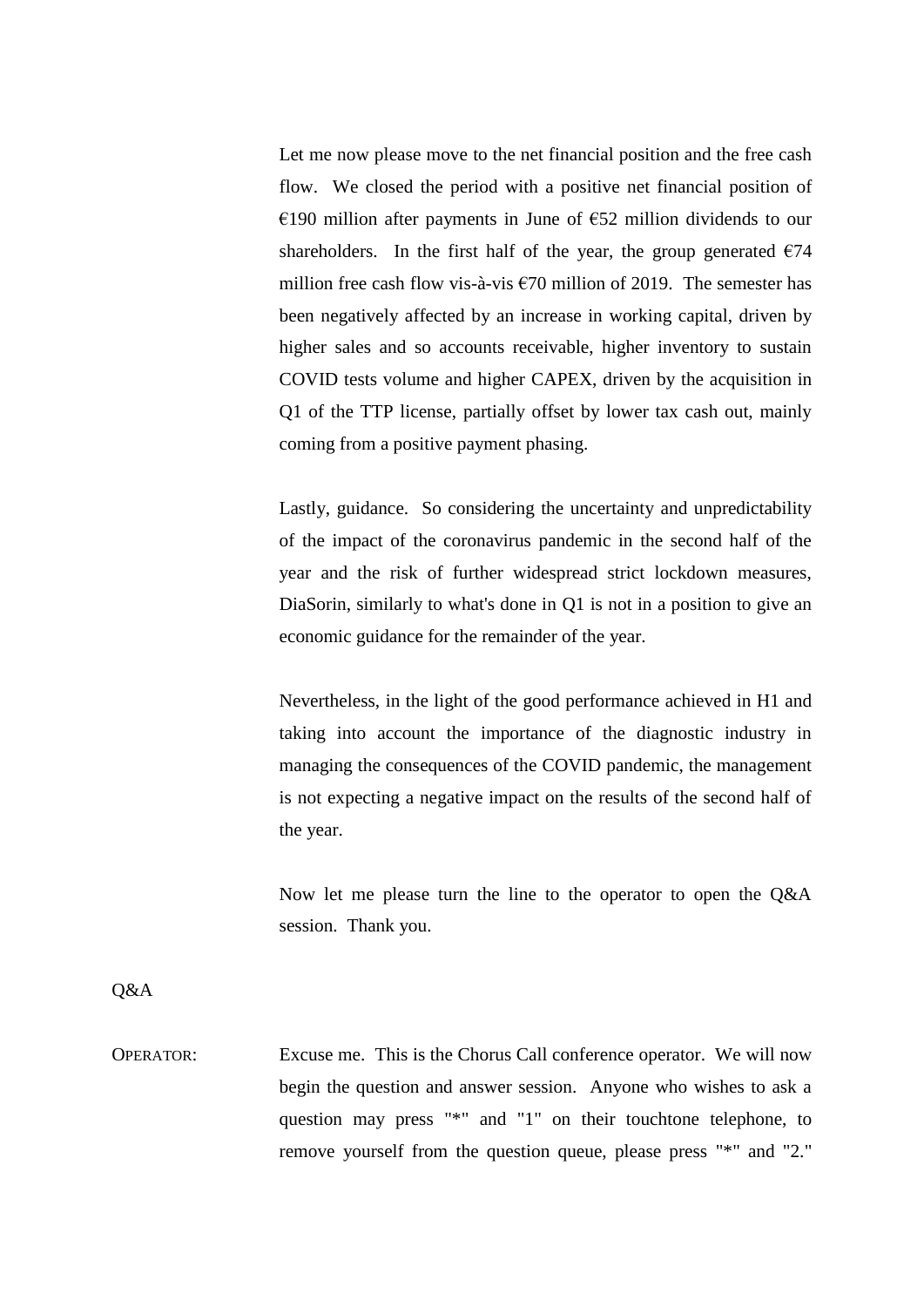Let me now please move to the net financial position and the free cash flow. We closed the period with a positive net financial position of €190 million after payments in June of  $€52$  million dividends to our shareholders. In the first half of the year, the group generated  $\epsilon$ 74 million free cash flow vis-à-vis  $\epsilon$ 70 million of 2019. The semester has been negatively affected by an increase in working capital, driven by higher sales and so accounts receivable, higher inventory to sustain COVID tests volume and higher CAPEX, driven by the acquisition in Q1 of the TTP license, partially offset by lower tax cash out, mainly coming from a positive payment phasing.

Lastly, guidance. So considering the uncertainty and unpredictability of the impact of the coronavirus pandemic in the second half of the year and the risk of further widespread strict lockdown measures, DiaSorin, similarly to what's done in Q1 is not in a position to give an economic guidance for the remainder of the year.

Nevertheless, in the light of the good performance achieved in H1 and taking into account the importance of the diagnostic industry in managing the consequences of the COVID pandemic, the management is not expecting a negative impact on the results of the second half of the year.

Now let me please turn the line to the operator to open the Q&A session. Thank you.

Q&A

OPERATOR: Excuse me. This is the Chorus Call conference operator. We will now begin the question and answer session. Anyone who wishes to ask a question may press "\*" and "1" on their touchtone telephone, to remove yourself from the question queue, please press "\*" and "2."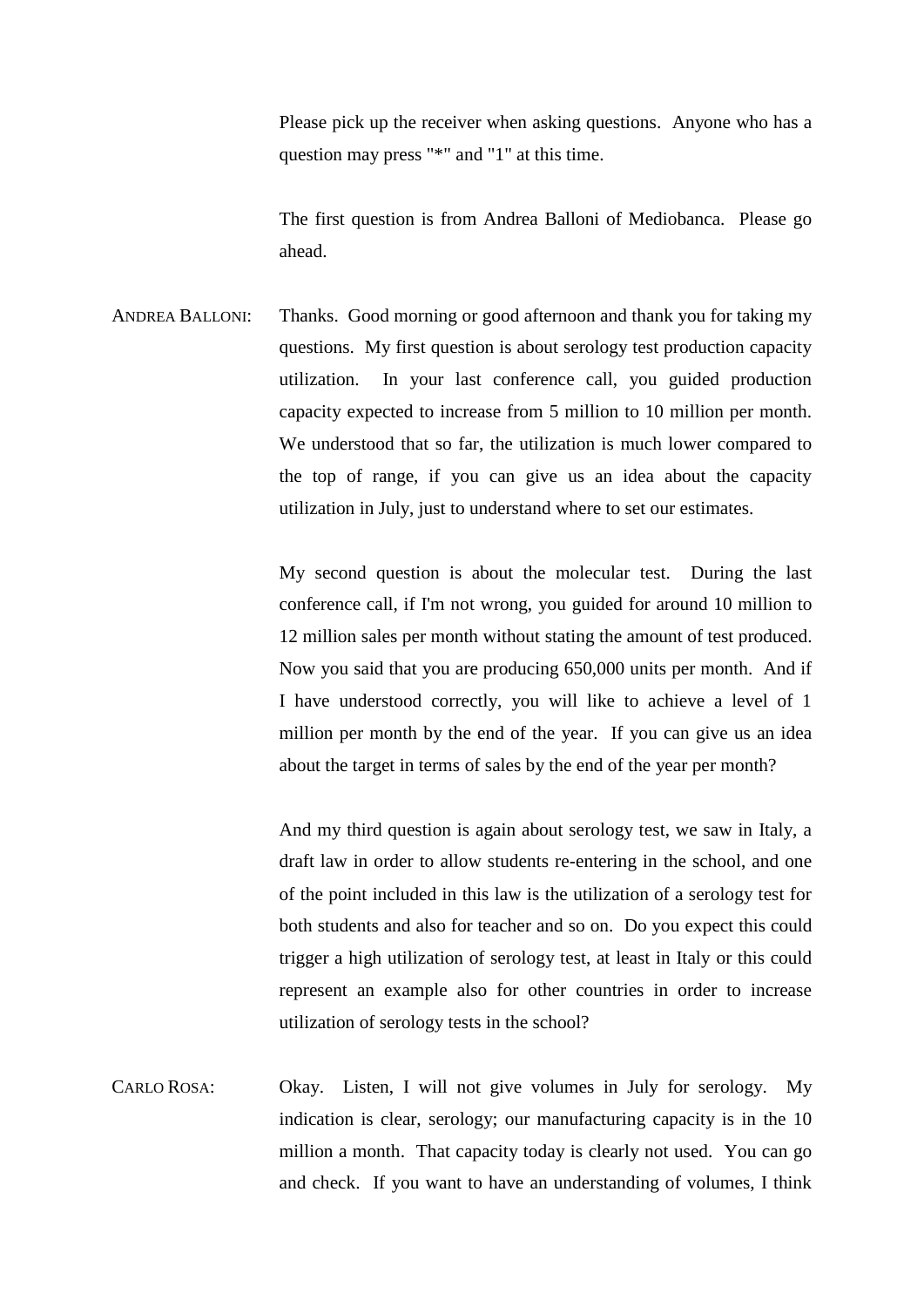Please pick up the receiver when asking questions. Anyone who has a question may press "\*" and "1" at this time.

The first question is from Andrea Balloni of Mediobanca. Please go ahead.

ANDREA BALLONI: Thanks. Good morning or good afternoon and thank you for taking my questions. My first question is about serology test production capacity utilization. In your last conference call, you guided production capacity expected to increase from 5 million to 10 million per month. We understood that so far, the utilization is much lower compared to the top of range, if you can give us an idea about the capacity utilization in July, just to understand where to set our estimates.

> My second question is about the molecular test. During the last conference call, if I'm not wrong, you guided for around 10 million to 12 million sales per month without stating the amount of test produced. Now you said that you are producing 650,000 units per month. And if I have understood correctly, you will like to achieve a level of 1 million per month by the end of the year. If you can give us an idea about the target in terms of sales by the end of the year per month?

> And my third question is again about serology test, we saw in Italy, a draft law in order to allow students re-entering in the school, and one of the point included in this law is the utilization of a serology test for both students and also for teacher and so on. Do you expect this could trigger a high utilization of serology test, at least in Italy or this could represent an example also for other countries in order to increase utilization of serology tests in the school?

CARLO ROSA: Okay. Listen, I will not give volumes in July for serology. My indication is clear, serology; our manufacturing capacity is in the 10 million a month. That capacity today is clearly not used. You can go and check. If you want to have an understanding of volumes, I think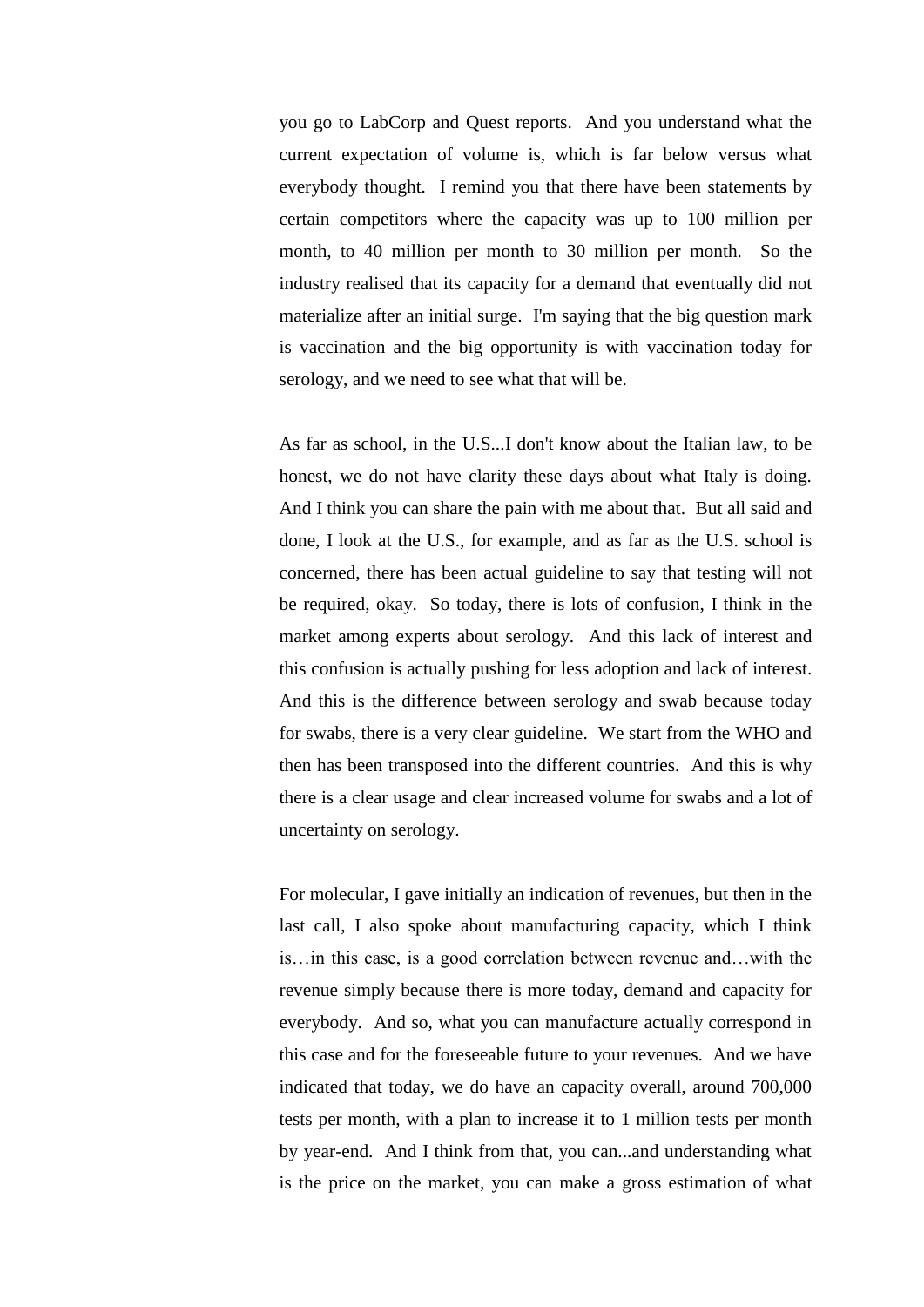you go to LabCorp and Quest reports. And you understand what the current expectation of volume is, which is far below versus what everybody thought. I remind you that there have been statements by certain competitors where the capacity was up to 100 million per month, to 40 million per month to 30 million per month. So the industry realised that its capacity for a demand that eventually did not materialize after an initial surge. I'm saying that the big question mark is vaccination and the big opportunity is with vaccination today for serology, and we need to see what that will be.

As far as school, in the U.S...I don't know about the Italian law, to be honest, we do not have clarity these days about what Italy is doing. And I think you can share the pain with me about that. But all said and done, I look at the U.S., for example, and as far as the U.S. school is concerned, there has been actual guideline to say that testing will not be required, okay. So today, there is lots of confusion, I think in the market among experts about serology. And this lack of interest and this confusion is actually pushing for less adoption and lack of interest. And this is the difference between serology and swab because today for swabs, there is a very clear guideline. We start from the WHO and then has been transposed into the different countries. And this is why there is a clear usage and clear increased volume for swabs and a lot of uncertainty on serology.

For molecular, I gave initially an indication of revenues, but then in the last call, I also spoke about manufacturing capacity, which I think is…in this case, is a good correlation between revenue and…with the revenue simply because there is more today, demand and capacity for everybody. And so, what you can manufacture actually correspond in this case and for the foreseeable future to your revenues. And we have indicated that today, we do have an capacity overall, around 700,000 tests per month, with a plan to increase it to 1 million tests per month by year-end. And I think from that, you can...and understanding what is the price on the market, you can make a gross estimation of what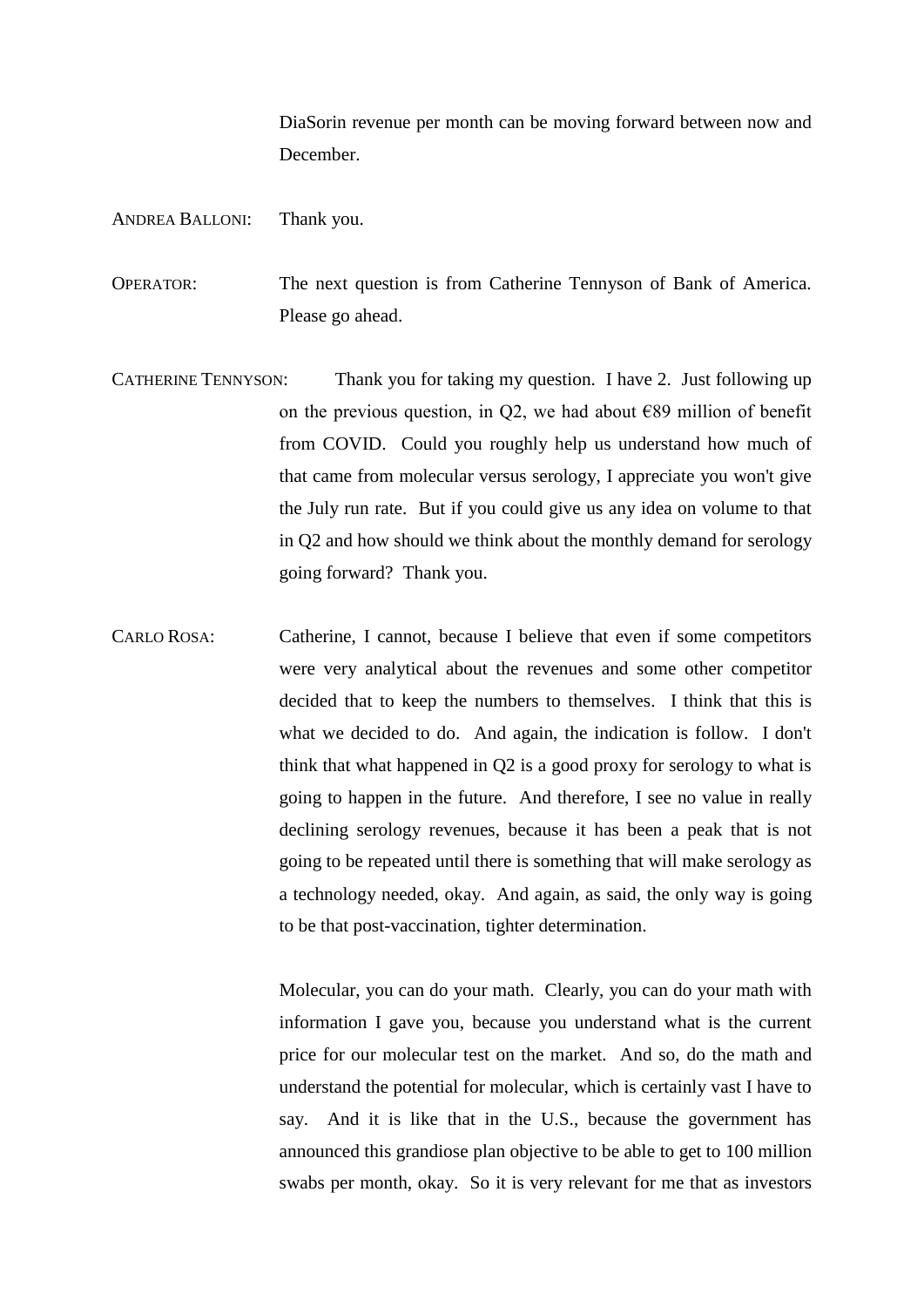DiaSorin revenue per month can be moving forward between now and December.

## ANDREA BALLONI: Thank you.

OPERATOR: The next question is from Catherine Tennyson of Bank of America. Please go ahead.

- CATHERINE TENNYSON: Thank you for taking my question. I have 2. Just following up on the previous question, in Q2, we had about  $E89$  million of benefit from COVID. Could you roughly help us understand how much of that came from molecular versus serology, I appreciate you won't give the July run rate. But if you could give us any idea on volume to that in Q2 and how should we think about the monthly demand for serology going forward? Thank you.
- CARLO ROSA: Catherine, I cannot, because I believe that even if some competitors were very analytical about the revenues and some other competitor decided that to keep the numbers to themselves. I think that this is what we decided to do. And again, the indication is follow. I don't think that what happened in Q2 is a good proxy for serology to what is going to happen in the future. And therefore, I see no value in really declining serology revenues, because it has been a peak that is not going to be repeated until there is something that will make serology as a technology needed, okay. And again, as said, the only way is going to be that post-vaccination, tighter determination.

Molecular, you can do your math. Clearly, you can do your math with information I gave you, because you understand what is the current price for our molecular test on the market. And so, do the math and understand the potential for molecular, which is certainly vast I have to say. And it is like that in the U.S., because the government has announced this grandiose plan objective to be able to get to 100 million swabs per month, okay. So it is very relevant for me that as investors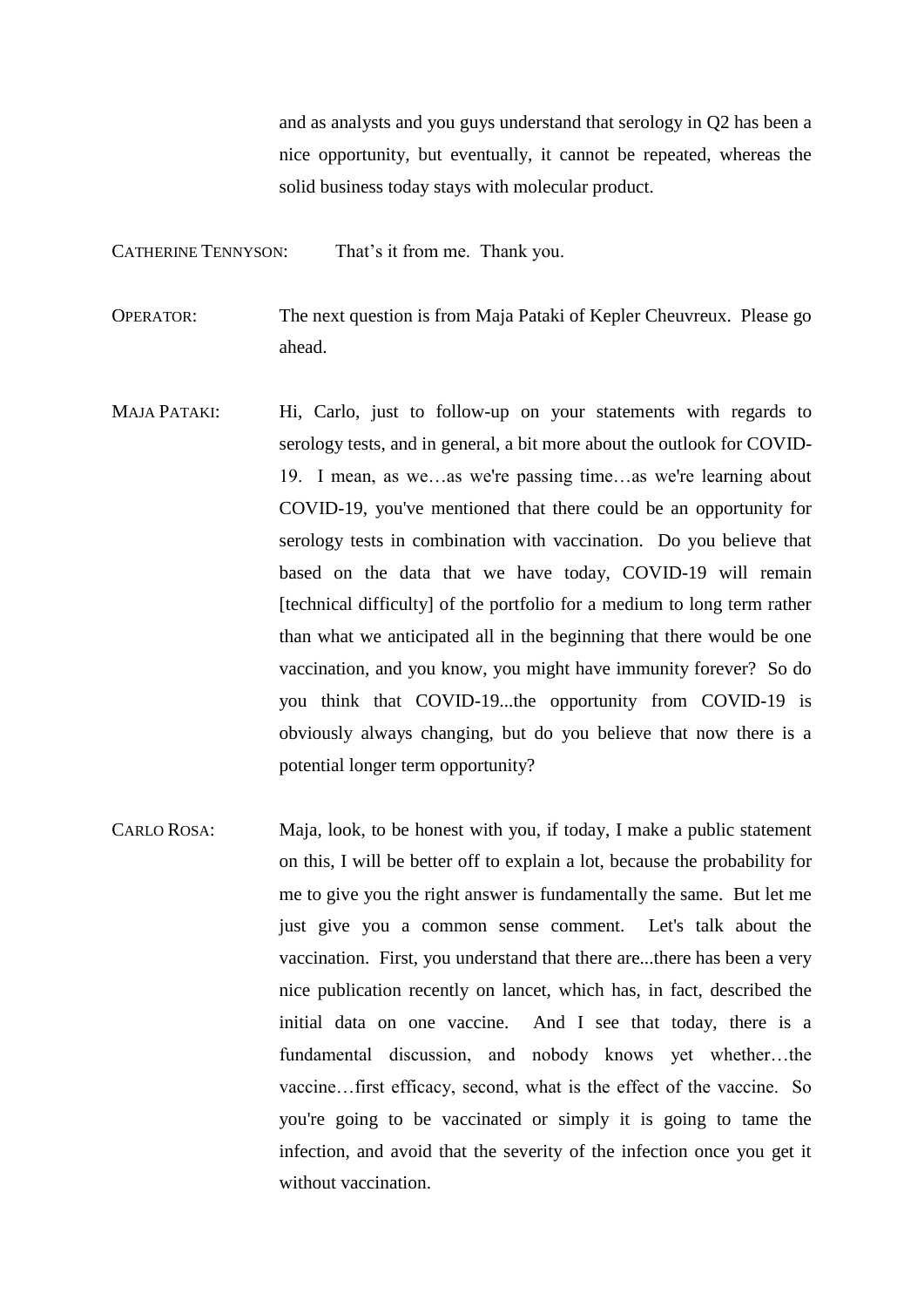and as analysts and you guys understand that serology in Q2 has been a nice opportunity, but eventually, it cannot be repeated, whereas the solid business today stays with molecular product.

CATHERINE TENNYSON: That's it from me. Thank you.

OPERATOR: The next question is from Maja Pataki of Kepler Cheuvreux. Please go ahead.

- MAJA PATAKI: Hi, Carlo, just to follow-up on your statements with regards to serology tests, and in general, a bit more about the outlook for COVID-19. I mean, as we…as we're passing time…as we're learning about COVID-19, you've mentioned that there could be an opportunity for serology tests in combination with vaccination. Do you believe that based on the data that we have today, COVID-19 will remain [technical difficulty] of the portfolio for a medium to long term rather than what we anticipated all in the beginning that there would be one vaccination, and you know, you might have immunity forever? So do you think that COVID-19...the opportunity from COVID-19 is obviously always changing, but do you believe that now there is a potential longer term opportunity?
- CARLO ROSA: Maja, look, to be honest with you, if today, I make a public statement on this, I will be better off to explain a lot, because the probability for me to give you the right answer is fundamentally the same. But let me just give you a common sense comment. Let's talk about the vaccination. First, you understand that there are...there has been a very nice publication recently on lancet, which has, in fact, described the initial data on one vaccine. And I see that today, there is a fundamental discussion, and nobody knows yet whether…the vaccine…first efficacy, second, what is the effect of the vaccine. So you're going to be vaccinated or simply it is going to tame the infection, and avoid that the severity of the infection once you get it without vaccination.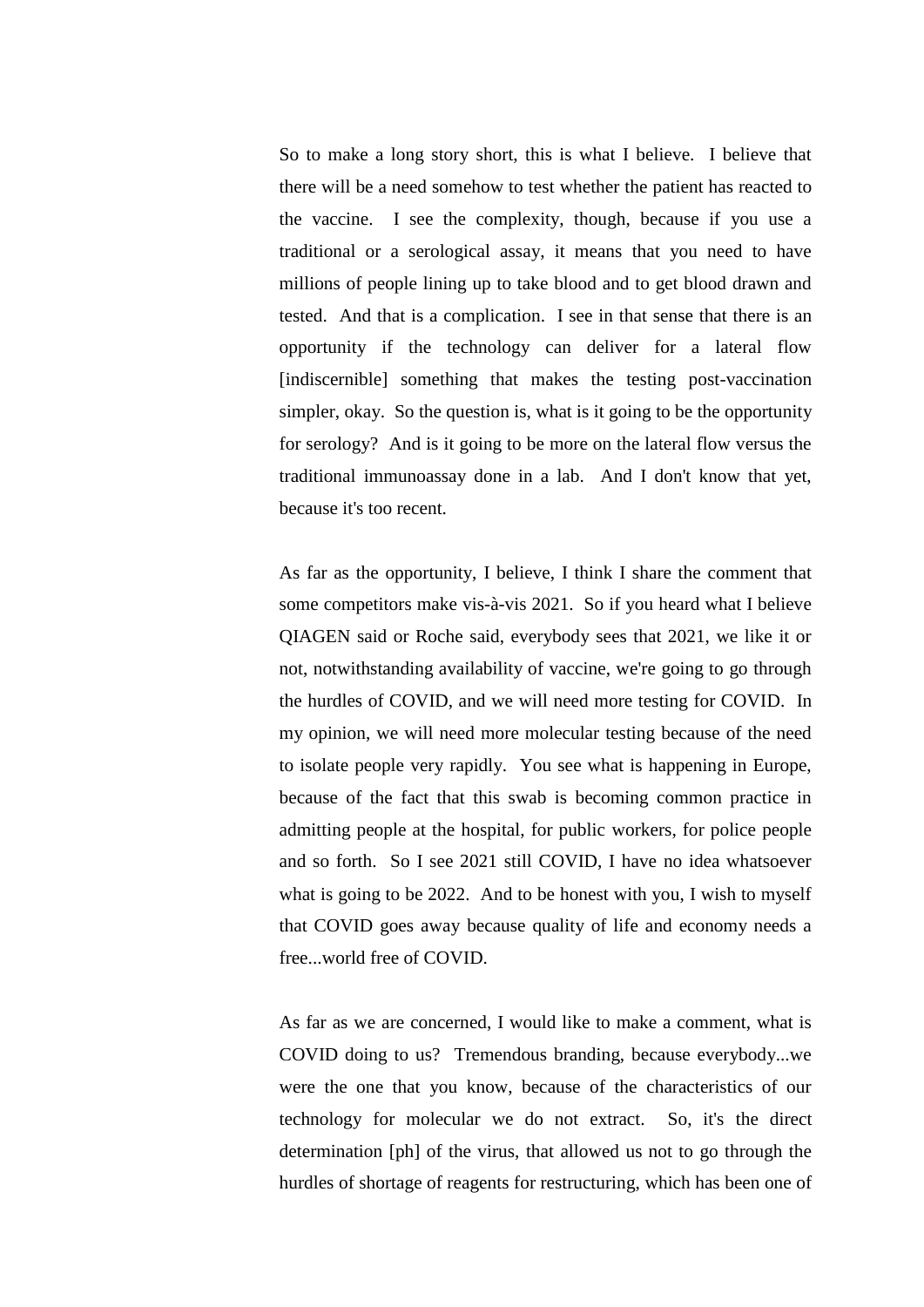So to make a long story short, this is what I believe. I believe that there will be a need somehow to test whether the patient has reacted to the vaccine. I see the complexity, though, because if you use a traditional or a serological assay, it means that you need to have millions of people lining up to take blood and to get blood drawn and tested. And that is a complication. I see in that sense that there is an opportunity if the technology can deliver for a lateral flow [indiscernible] something that makes the testing post-vaccination simpler, okay. So the question is, what is it going to be the opportunity for serology? And is it going to be more on the lateral flow versus the traditional immunoassay done in a lab. And I don't know that yet, because it's too recent.

As far as the opportunity, I believe, I think I share the comment that some competitors make vis-à-vis 2021. So if you heard what I believe QIAGEN said or Roche said, everybody sees that 2021, we like it or not, notwithstanding availability of vaccine, we're going to go through the hurdles of COVID, and we will need more testing for COVID. In my opinion, we will need more molecular testing because of the need to isolate people very rapidly. You see what is happening in Europe, because of the fact that this swab is becoming common practice in admitting people at the hospital, for public workers, for police people and so forth. So I see 2021 still COVID, I have no idea whatsoever what is going to be 2022. And to be honest with you, I wish to myself that COVID goes away because quality of life and economy needs a free...world free of COVID.

As far as we are concerned, I would like to make a comment, what is COVID doing to us? Tremendous branding, because everybody...we were the one that you know, because of the characteristics of our technology for molecular we do not extract. So, it's the direct determination [ph] of the virus, that allowed us not to go through the hurdles of shortage of reagents for restructuring, which has been one of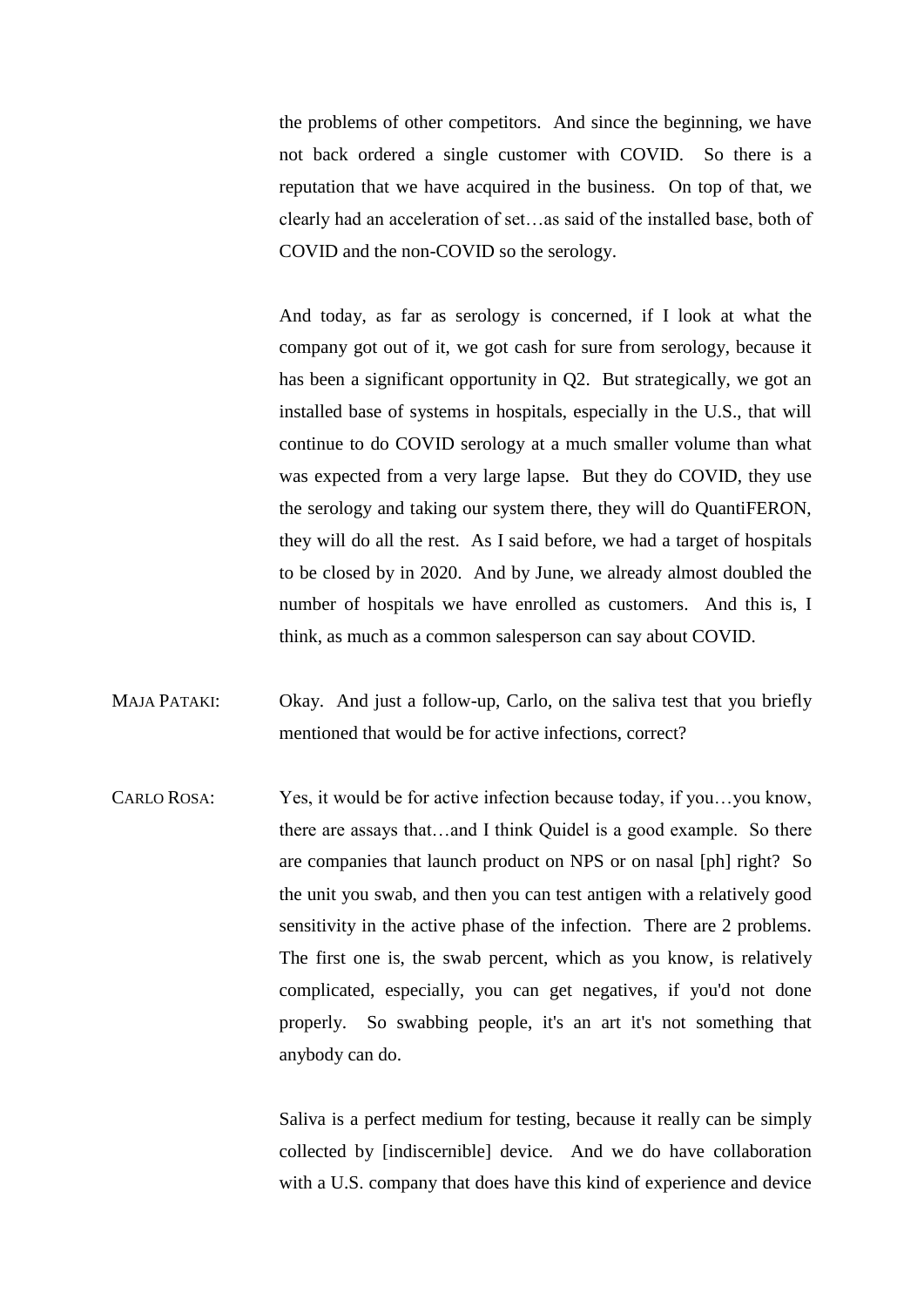the problems of other competitors. And since the beginning, we have not back ordered a single customer with COVID. So there is a reputation that we have acquired in the business. On top of that, we clearly had an acceleration of set…as said of the installed base, both of COVID and the non-COVID so the serology.

And today, as far as serology is concerned, if I look at what the company got out of it, we got cash for sure from serology, because it has been a significant opportunity in Q2. But strategically, we got an installed base of systems in hospitals, especially in the U.S., that will continue to do COVID serology at a much smaller volume than what was expected from a very large lapse. But they do COVID, they use the serology and taking our system there, they will do QuantiFERON, they will do all the rest. As I said before, we had a target of hospitals to be closed by in 2020. And by June, we already almost doubled the number of hospitals we have enrolled as customers. And this is, I think, as much as a common salesperson can say about COVID.

- MAJA PATAKI: Okay. And just a follow-up, Carlo, on the saliva test that you briefly mentioned that would be for active infections, correct?
- CARLO ROSA: Yes, it would be for active infection because today, if you…you know, there are assays that…and I think Quidel is a good example. So there are companies that launch product on NPS or on nasal [ph] right? So the unit you swab, and then you can test antigen with a relatively good sensitivity in the active phase of the infection. There are 2 problems. The first one is, the swab percent, which as you know, is relatively complicated, especially, you can get negatives, if you'd not done properly. So swabbing people, it's an art it's not something that anybody can do.

Saliva is a perfect medium for testing, because it really can be simply collected by [indiscernible] device. And we do have collaboration with a U.S. company that does have this kind of experience and device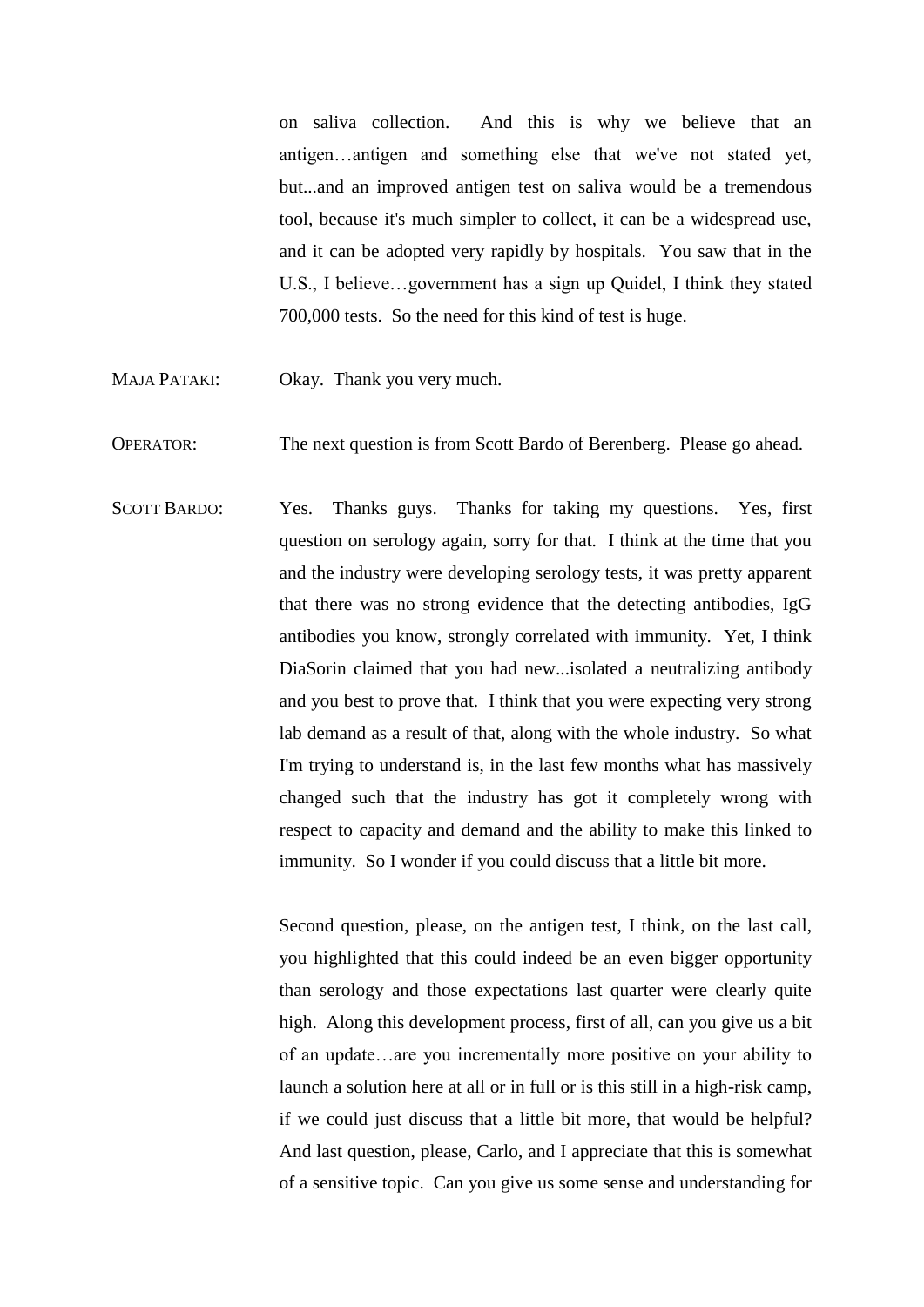on saliva collection. And this is why we believe that an antigen…antigen and something else that we've not stated yet, but...and an improved antigen test on saliva would be a tremendous tool, because it's much simpler to collect, it can be a widespread use, and it can be adopted very rapidly by hospitals. You saw that in the U.S., I believe…government has a sign up Quidel, I think they stated 700,000 tests. So the need for this kind of test is huge.

- MAJA PATAKI: Okay. Thank you very much.
- OPERATOR: The next question is from Scott Bardo of Berenberg. Please go ahead.
- SCOTT BARDO: Yes. Thanks guys. Thanks for taking my questions. Yes, first question on serology again, sorry for that. I think at the time that you and the industry were developing serology tests, it was pretty apparent that there was no strong evidence that the detecting antibodies, IgG antibodies you know, strongly correlated with immunity. Yet, I think DiaSorin claimed that you had new...isolated a neutralizing antibody and you best to prove that. I think that you were expecting very strong lab demand as a result of that, along with the whole industry. So what I'm trying to understand is, in the last few months what has massively changed such that the industry has got it completely wrong with respect to capacity and demand and the ability to make this linked to immunity. So I wonder if you could discuss that a little bit more.

Second question, please, on the antigen test, I think, on the last call, you highlighted that this could indeed be an even bigger opportunity than serology and those expectations last quarter were clearly quite high. Along this development process, first of all, can you give us a bit of an update…are you incrementally more positive on your ability to launch a solution here at all or in full or is this still in a high-risk camp, if we could just discuss that a little bit more, that would be helpful? And last question, please, Carlo, and I appreciate that this is somewhat of a sensitive topic. Can you give us some sense and understanding for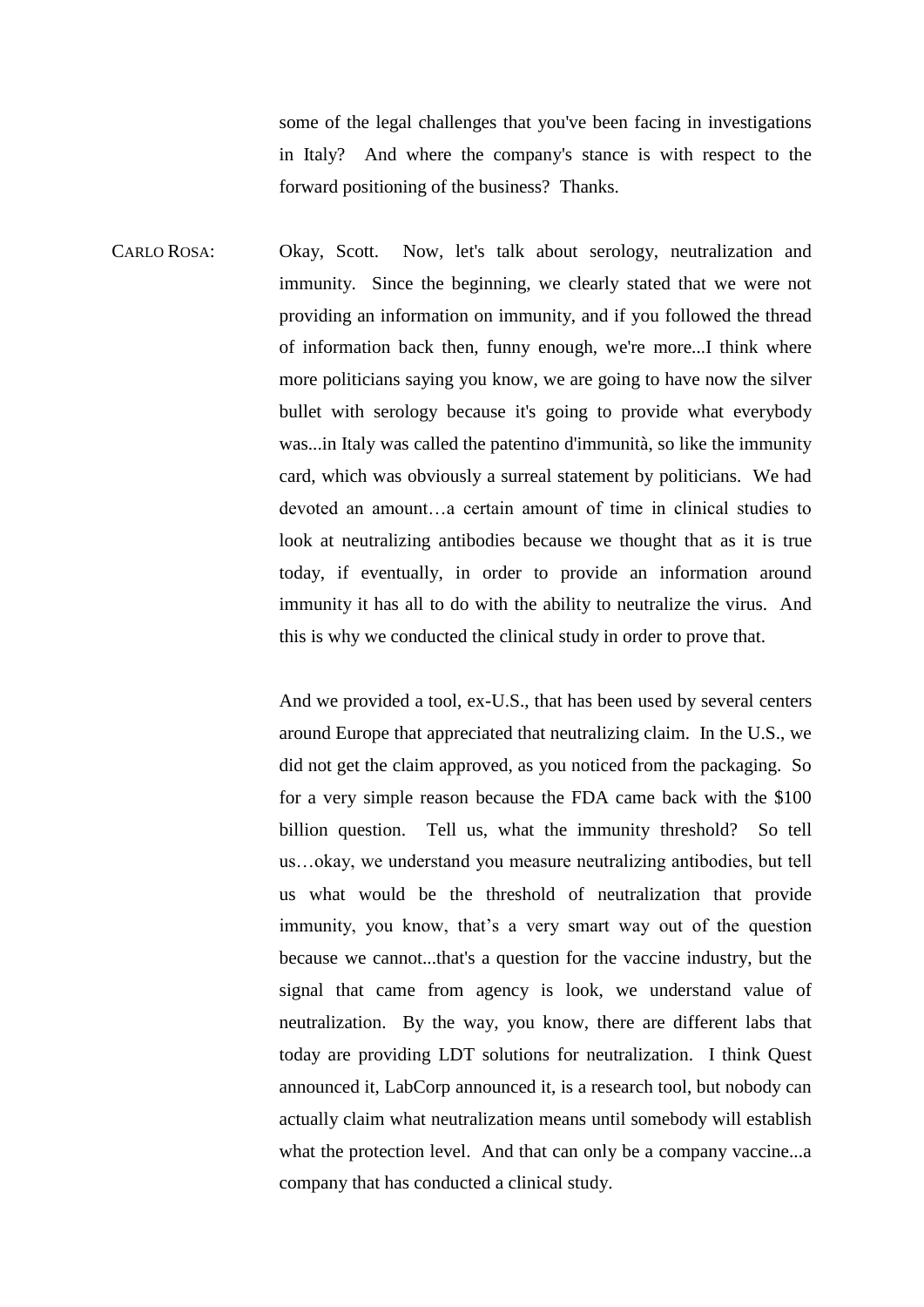some of the legal challenges that you've been facing in investigations in Italy? And where the company's stance is with respect to the forward positioning of the business? Thanks.

CARLO ROSA: Okay, Scott. Now, let's talk about serology, neutralization and immunity. Since the beginning, we clearly stated that we were not providing an information on immunity, and if you followed the thread of information back then, funny enough, we're more...I think where more politicians saying you know, we are going to have now the silver bullet with serology because it's going to provide what everybody was...in Italy was called the patentino d'immunità, so like the immunity card, which was obviously a surreal statement by politicians. We had devoted an amount…a certain amount of time in clinical studies to look at neutralizing antibodies because we thought that as it is true today, if eventually, in order to provide an information around immunity it has all to do with the ability to neutralize the virus. And this is why we conducted the clinical study in order to prove that.

> And we provided a tool, ex-U.S., that has been used by several centers around Europe that appreciated that neutralizing claim. In the U.S., we did not get the claim approved, as you noticed from the packaging. So for a very simple reason because the FDA came back with the \$100 billion question. Tell us, what the immunity threshold? So tell us…okay, we understand you measure neutralizing antibodies, but tell us what would be the threshold of neutralization that provide immunity, you know, that's a very smart way out of the question because we cannot...that's a question for the vaccine industry, but the signal that came from agency is look, we understand value of neutralization. By the way, you know, there are different labs that today are providing LDT solutions for neutralization. I think Quest announced it, LabCorp announced it, is a research tool, but nobody can actually claim what neutralization means until somebody will establish what the protection level. And that can only be a company vaccine...a company that has conducted a clinical study.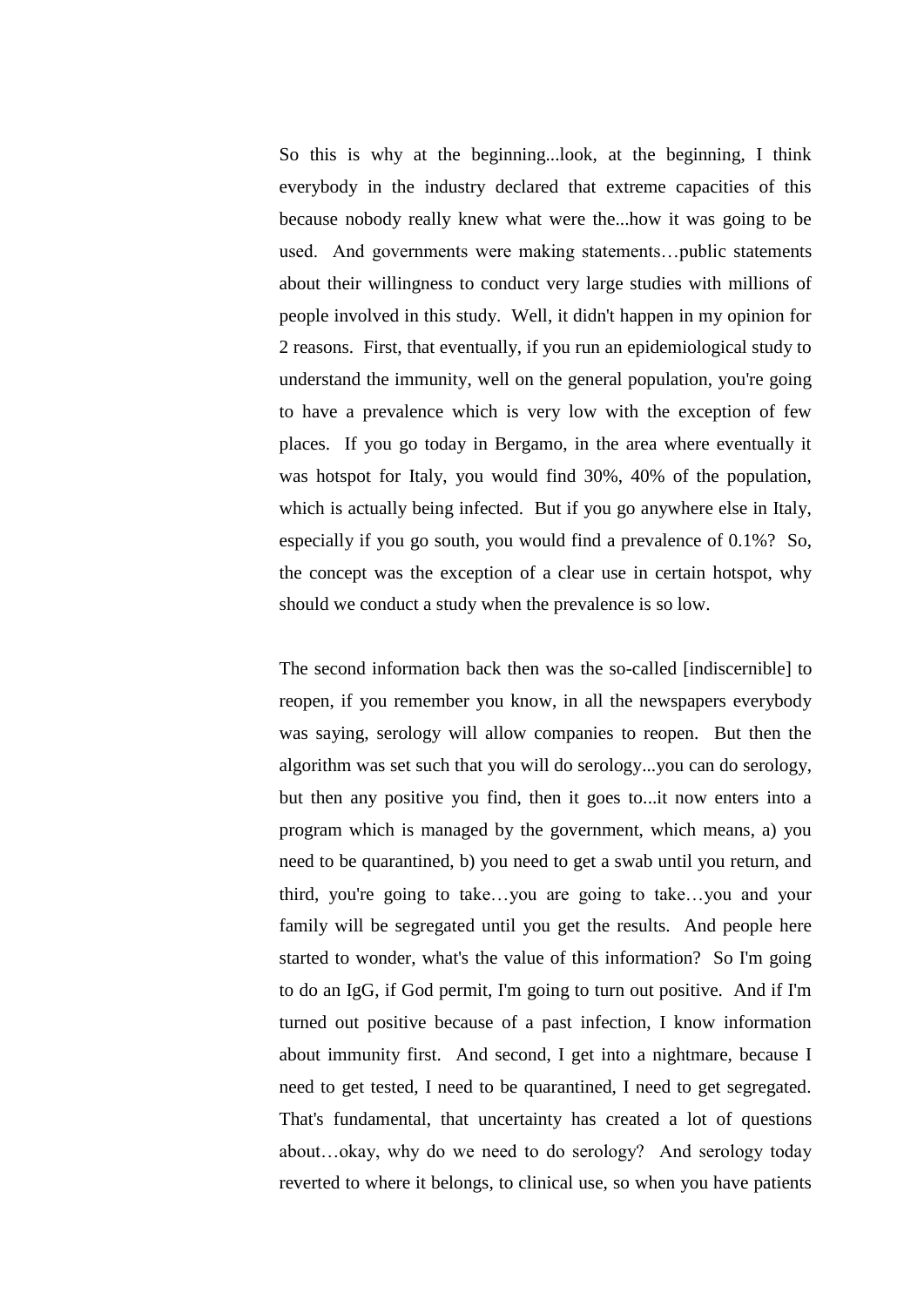So this is why at the beginning...look, at the beginning, I think everybody in the industry declared that extreme capacities of this because nobody really knew what were the...how it was going to be used. And governments were making statements…public statements about their willingness to conduct very large studies with millions of people involved in this study. Well, it didn't happen in my opinion for 2 reasons. First, that eventually, if you run an epidemiological study to understand the immunity, well on the general population, you're going to have a prevalence which is very low with the exception of few places. If you go today in Bergamo, in the area where eventually it was hotspot for Italy, you would find 30%, 40% of the population, which is actually being infected. But if you go anywhere else in Italy, especially if you go south, you would find a prevalence of 0.1%? So, the concept was the exception of a clear use in certain hotspot, why should we conduct a study when the prevalence is so low.

The second information back then was the so-called [indiscernible] to reopen, if you remember you know, in all the newspapers everybody was saying, serology will allow companies to reopen. But then the algorithm was set such that you will do serology...you can do serology, but then any positive you find, then it goes to...it now enters into a program which is managed by the government, which means, a) you need to be quarantined, b) you need to get a swab until you return, and third, you're going to take…you are going to take…you and your family will be segregated until you get the results. And people here started to wonder, what's the value of this information? So I'm going to do an IgG, if God permit, I'm going to turn out positive. And if I'm turned out positive because of a past infection, I know information about immunity first. And second, I get into a nightmare, because I need to get tested, I need to be quarantined, I need to get segregated. That's fundamental, that uncertainty has created a lot of questions about…okay, why do we need to do serology? And serology today reverted to where it belongs, to clinical use, so when you have patients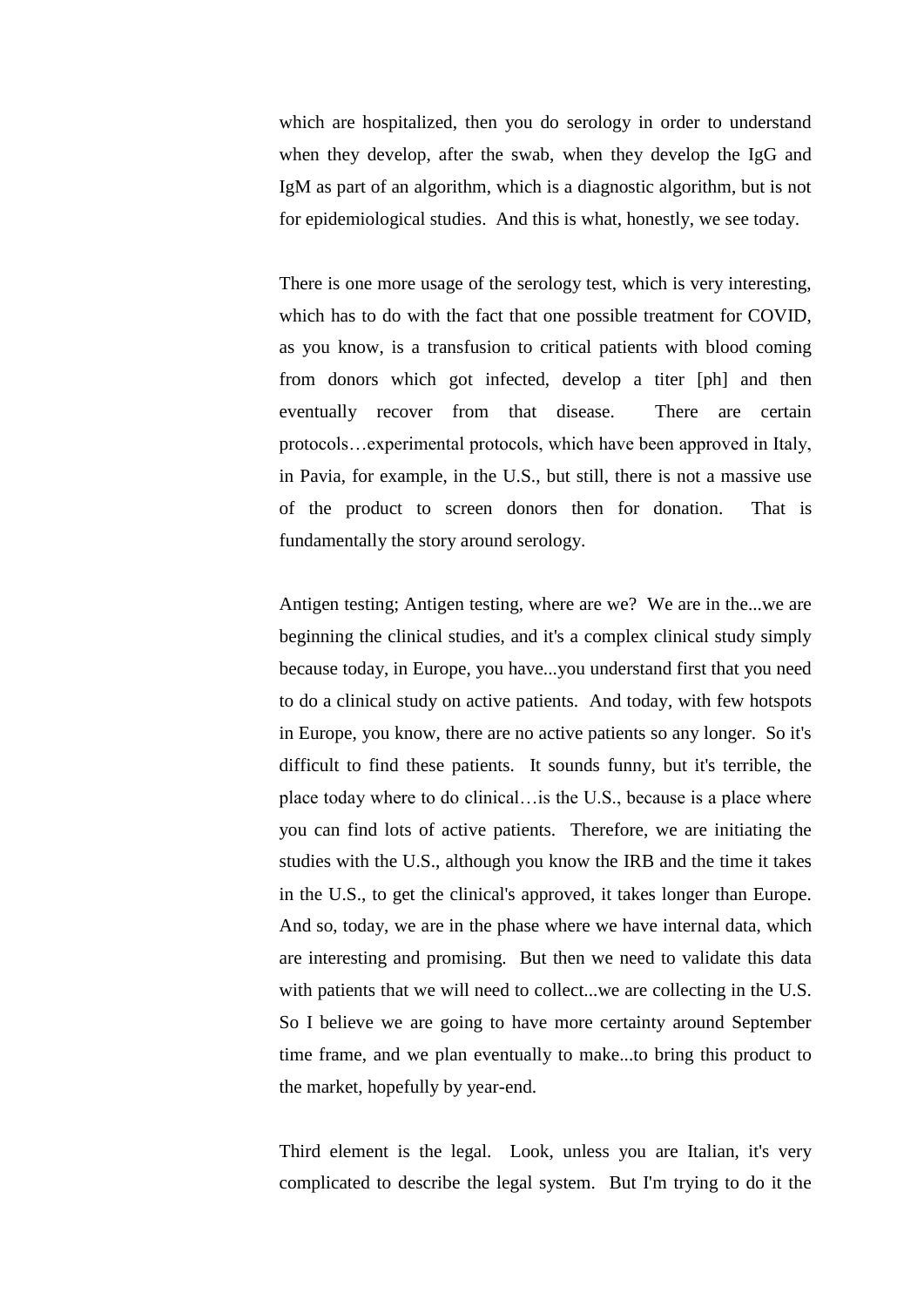which are hospitalized, then you do serology in order to understand when they develop, after the swab, when they develop the IgG and IgM as part of an algorithm, which is a diagnostic algorithm, but is not for epidemiological studies. And this is what, honestly, we see today.

There is one more usage of the serology test, which is very interesting, which has to do with the fact that one possible treatment for COVID, as you know, is a transfusion to critical patients with blood coming from donors which got infected, develop a titer [ph] and then eventually recover from that disease. There are certain protocols…experimental protocols, which have been approved in Italy, in Pavia, for example, in the U.S., but still, there is not a massive use of the product to screen donors then for donation. That is fundamentally the story around serology.

Antigen testing; Antigen testing, where are we? We are in the...we are beginning the clinical studies, and it's a complex clinical study simply because today, in Europe, you have...you understand first that you need to do a clinical study on active patients. And today, with few hotspots in Europe, you know, there are no active patients so any longer. So it's difficult to find these patients. It sounds funny, but it's terrible, the place today where to do clinical…is the U.S., because is a place where you can find lots of active patients. Therefore, we are initiating the studies with the U.S., although you know the IRB and the time it takes in the U.S., to get the clinical's approved, it takes longer than Europe. And so, today, we are in the phase where we have internal data, which are interesting and promising. But then we need to validate this data with patients that we will need to collect...we are collecting in the U.S. So I believe we are going to have more certainty around September time frame, and we plan eventually to make...to bring this product to the market, hopefully by year-end.

Third element is the legal. Look, unless you are Italian, it's very complicated to describe the legal system. But I'm trying to do it the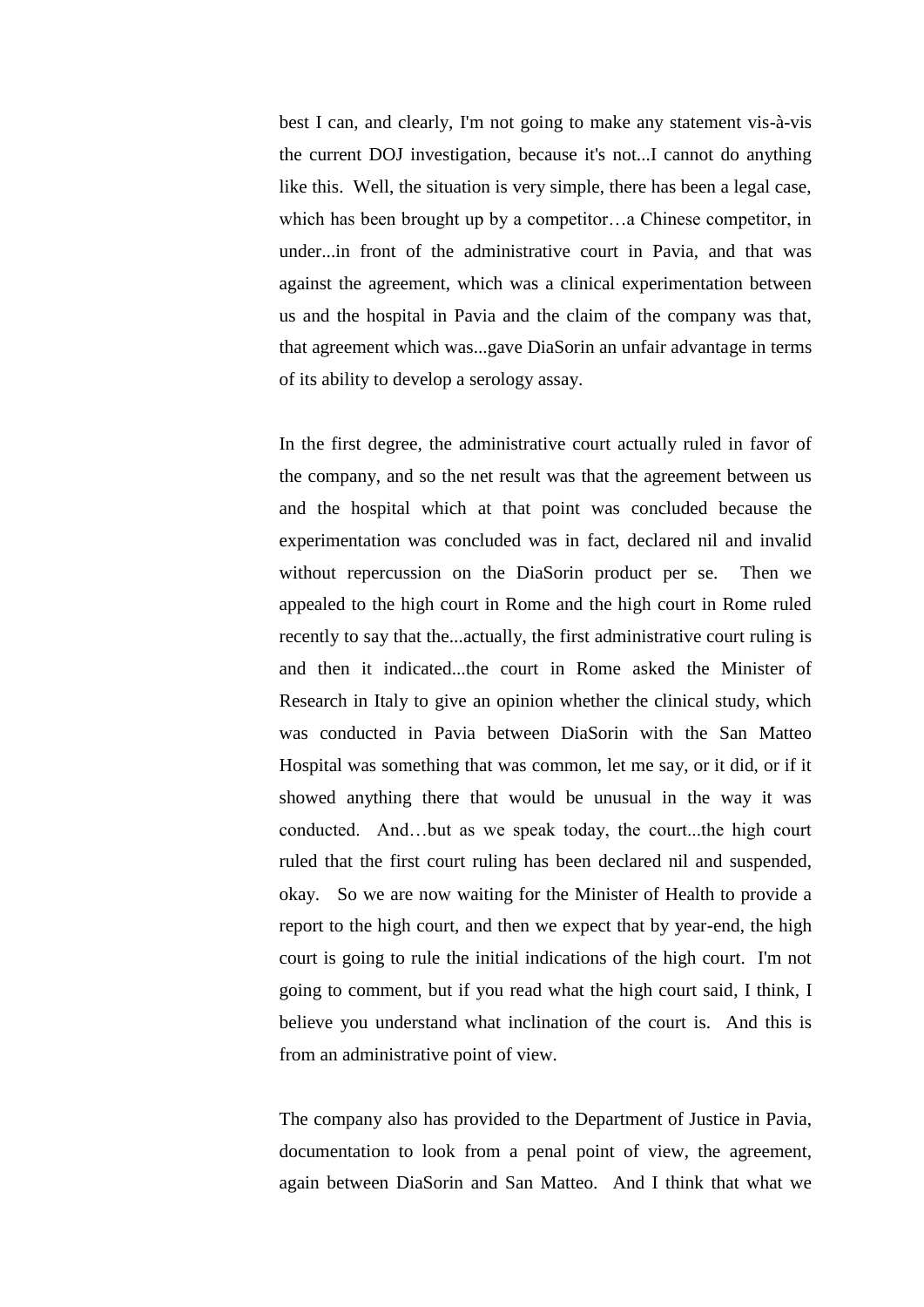best I can, and clearly, I'm not going to make any statement vis-à-vis the current DOJ investigation, because it's not...I cannot do anything like this. Well, the situation is very simple, there has been a legal case, which has been brought up by a competitor…a Chinese competitor, in under...in front of the administrative court in Pavia, and that was against the agreement, which was a clinical experimentation between us and the hospital in Pavia and the claim of the company was that, that agreement which was...gave DiaSorin an unfair advantage in terms of its ability to develop a serology assay.

In the first degree, the administrative court actually ruled in favor of the company, and so the net result was that the agreement between us and the hospital which at that point was concluded because the experimentation was concluded was in fact, declared nil and invalid without repercussion on the DiaSorin product per se. Then we appealed to the high court in Rome and the high court in Rome ruled recently to say that the...actually, the first administrative court ruling is and then it indicated...the court in Rome asked the Minister of Research in Italy to give an opinion whether the clinical study, which was conducted in Pavia between DiaSorin with the San Matteo Hospital was something that was common, let me say, or it did, or if it showed anything there that would be unusual in the way it was conducted. And…but as we speak today, the court...the high court ruled that the first court ruling has been declared nil and suspended, okay. So we are now waiting for the Minister of Health to provide a report to the high court, and then we expect that by year-end, the high court is going to rule the initial indications of the high court. I'm not going to comment, but if you read what the high court said, I think, I believe you understand what inclination of the court is. And this is from an administrative point of view.

The company also has provided to the Department of Justice in Pavia, documentation to look from a penal point of view, the agreement, again between DiaSorin and San Matteo. And I think that what we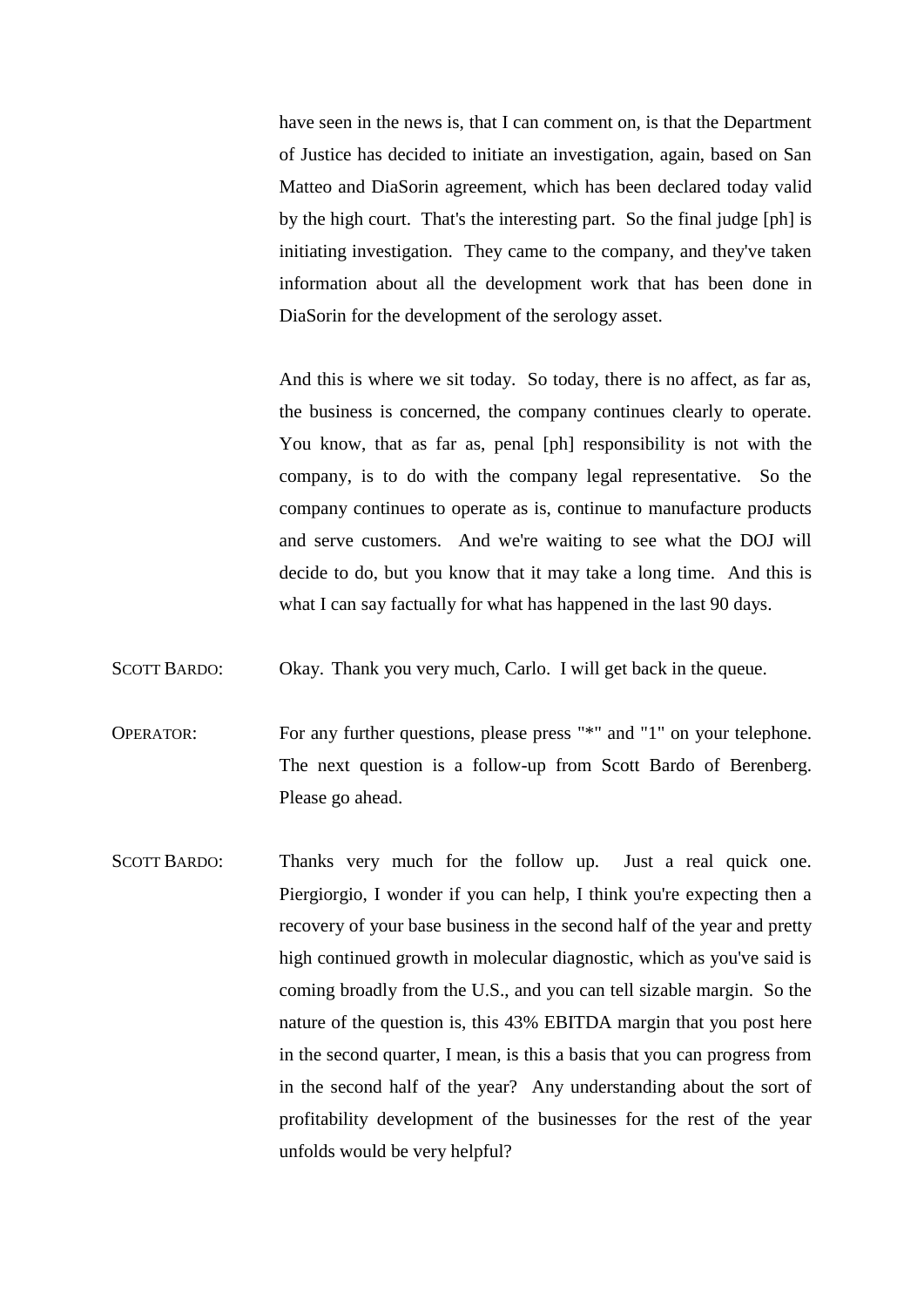have seen in the news is, that I can comment on, is that the Department of Justice has decided to initiate an investigation, again, based on San Matteo and DiaSorin agreement, which has been declared today valid by the high court. That's the interesting part. So the final judge [ph] is initiating investigation. They came to the company, and they've taken information about all the development work that has been done in DiaSorin for the development of the serology asset.

And this is where we sit today. So today, there is no affect, as far as, the business is concerned, the company continues clearly to operate. You know, that as far as, penal [ph] responsibility is not with the company, is to do with the company legal representative. So the company continues to operate as is, continue to manufacture products and serve customers. And we're waiting to see what the DOJ will decide to do, but you know that it may take a long time. And this is what I can say factually for what has happened in the last 90 days.

SCOTT BARDO: Okay. Thank you very much, Carlo. I will get back in the queue.

OPERATOR: For any further questions, please press "\*" and "1" on your telephone. The next question is a follow-up from Scott Bardo of Berenberg. Please go ahead.

SCOTT BARDO: Thanks very much for the follow up. Just a real quick one. Piergiorgio, I wonder if you can help, I think you're expecting then a recovery of your base business in the second half of the year and pretty high continued growth in molecular diagnostic, which as you've said is coming broadly from the U.S., and you can tell sizable margin. So the nature of the question is, this 43% EBITDA margin that you post here in the second quarter, I mean, is this a basis that you can progress from in the second half of the year? Any understanding about the sort of profitability development of the businesses for the rest of the year unfolds would be very helpful?